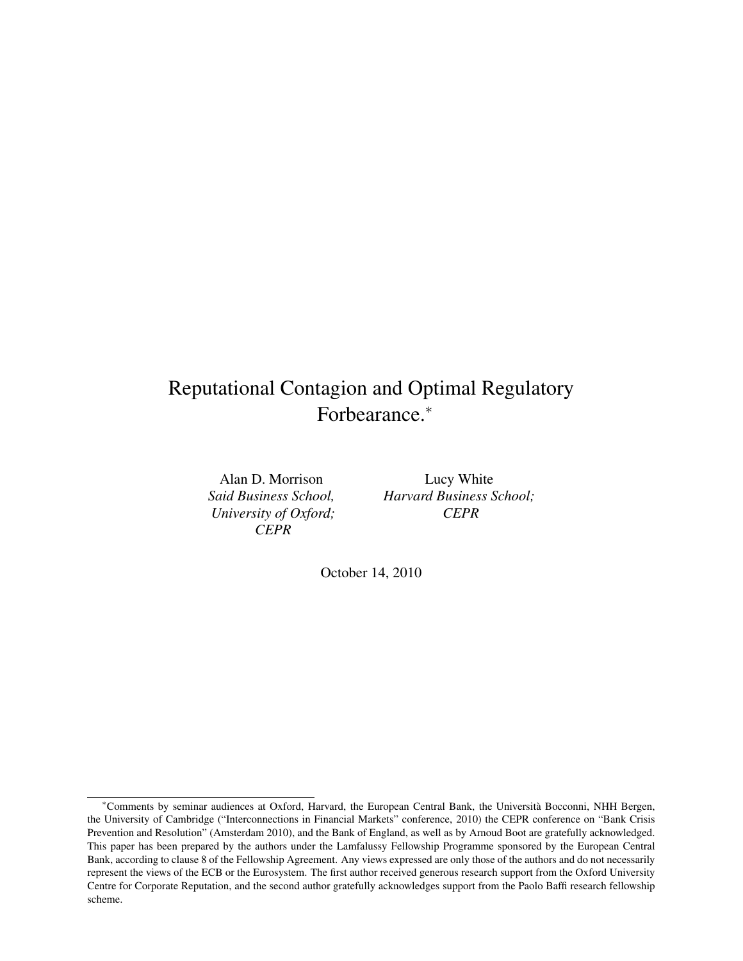## Reputational Contagion and Optimal Regulatory Forbearance.<sup>∗</sup>

Alan D. Morrison *Said Business School, University of Oxford; CEPR*

Lucy White *Harvard Business School; CEPR*

October 14, 2010

<sup>∗</sup>Comments by seminar audiences at Oxford, Harvard, the European Central Bank, the Università Bocconni, NHH Bergen, the University of Cambridge ("Interconnections in Financial Markets" conference, 2010) the CEPR conference on "Bank Crisis Prevention and Resolution" (Amsterdam 2010), and the Bank of England, as well as by Arnoud Boot are gratefully acknowledged. This paper has been prepared by the authors under the Lamfalussy Fellowship Programme sponsored by the European Central Bank, according to clause 8 of the Fellowship Agreement. Any views expressed are only those of the authors and do not necessarily represent the views of the ECB or the Eurosystem. The first author received generous research support from the Oxford University Centre for Corporate Reputation, and the second author gratefully acknowledges support from the Paolo Baffi research fellowship scheme.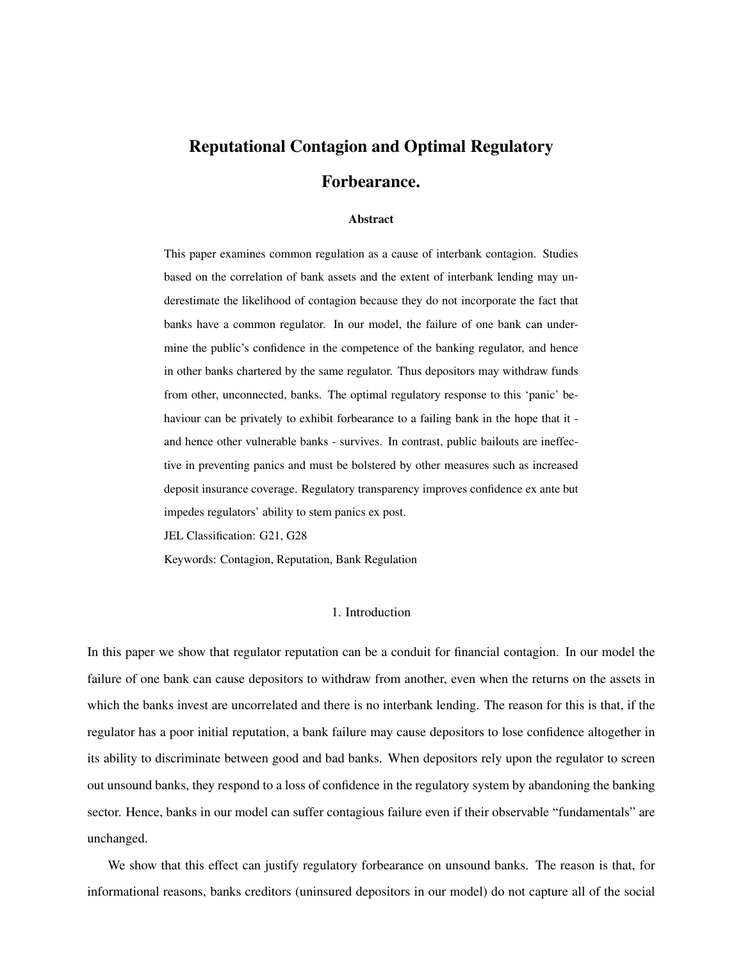# Reputational Contagion and Optimal Regulatory Forbearance.

## Abstract

This paper examines common regulation as a cause of interbank contagion. Studies based on the correlation of bank assets and the extent of interbank lending may underestimate the likelihood of contagion because they do not incorporate the fact that banks have a common regulator. In our model, the failure of one bank can undermine the public's confidence in the competence of the banking regulator, and hence in other banks chartered by the same regulator. Thus depositors may withdraw funds from other, unconnected, banks. The optimal regulatory response to this 'panic' behaviour can be privately to exhibit forbearance to a failing bank in the hope that it and hence other vulnerable banks - survives. In contrast, public bailouts are ineffective in preventing panics and must be bolstered by other measures such as increased deposit insurance coverage. Regulatory transparency improves confidence ex ante but impedes regulators' ability to stem panics ex post.

JEL Classification: G21, G28

Keywords: Contagion, Reputation, Bank Regulation

#### 1. Introduction

In this paper we show that regulator reputation can be a conduit for financial contagion. In our model the failure of one bank can cause depositors to withdraw from another, even when the returns on the assets in which the banks invest are uncorrelated and there is no interbank lending. The reason for this is that, if the regulator has a poor initial reputation, a bank failure may cause depositors to lose confidence altogether in its ability to discriminate between good and bad banks. When depositors rely upon the regulator to screen out unsound banks, they respond to a loss of confidence in the regulatory system by abandoning the banking sector. Hence, banks in our model can suffer contagious failure even if their observable "fundamentals" are unchanged.

We show that this effect can justify regulatory forbearance on unsound banks. The reason is that, for informational reasons, banks creditors (uninsured depositors in our model) do not capture all of the social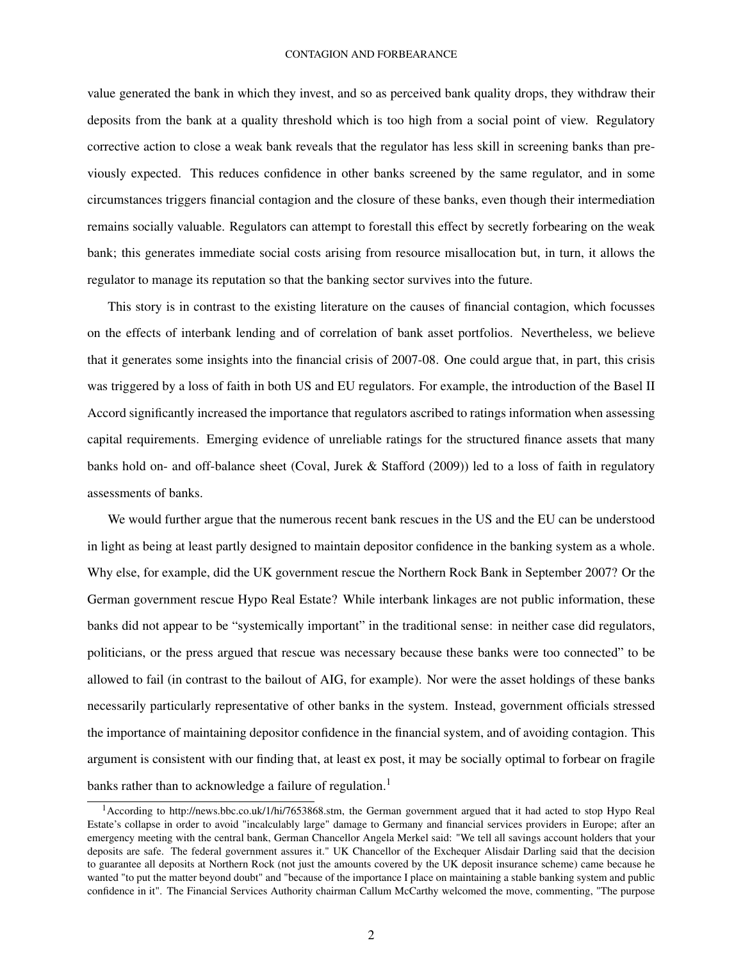value generated the bank in which they invest, and so as perceived bank quality drops, they withdraw their deposits from the bank at a quality threshold which is too high from a social point of view. Regulatory corrective action to close a weak bank reveals that the regulator has less skill in screening banks than previously expected. This reduces confidence in other banks screened by the same regulator, and in some circumstances triggers financial contagion and the closure of these banks, even though their intermediation remains socially valuable. Regulators can attempt to forestall this effect by secretly forbearing on the weak bank; this generates immediate social costs arising from resource misallocation but, in turn, it allows the regulator to manage its reputation so that the banking sector survives into the future.

This story is in contrast to the existing literature on the causes of financial contagion, which focusses on the effects of interbank lending and of correlation of bank asset portfolios. Nevertheless, we believe that it generates some insights into the financial crisis of 2007-08. One could argue that, in part, this crisis was triggered by a loss of faith in both US and EU regulators. For example, the introduction of the Basel II Accord significantly increased the importance that regulators ascribed to ratings information when assessing capital requirements. Emerging evidence of unreliable ratings for the structured finance assets that many banks hold on- and off-balance sheet (Coval, Jurek & Stafford (2009)) led to a loss of faith in regulatory assessments of banks.

We would further argue that the numerous recent bank rescues in the US and the EU can be understood in light as being at least partly designed to maintain depositor confidence in the banking system as a whole. Why else, for example, did the UK government rescue the Northern Rock Bank in September 2007? Or the German government rescue Hypo Real Estate? While interbank linkages are not public information, these banks did not appear to be "systemically important" in the traditional sense: in neither case did regulators, politicians, or the press argued that rescue was necessary because these banks were too connected" to be allowed to fail (in contrast to the bailout of AIG, for example). Nor were the asset holdings of these banks necessarily particularly representative of other banks in the system. Instead, government officials stressed the importance of maintaining depositor confidence in the financial system, and of avoiding contagion. This argument is consistent with our finding that, at least ex post, it may be socially optimal to forbear on fragile banks rather than to acknowledge a failure of regulation.<sup>1</sup>

<sup>&</sup>lt;sup>1</sup> According to http://news.bbc.co.uk/1/hi/7653868.stm, the German government argued that it had acted to stop Hypo Real Estate's collapse in order to avoid "incalculably large" damage to Germany and financial services providers in Europe; after an emergency meeting with the central bank, German Chancellor Angela Merkel said: "We tell all savings account holders that your deposits are safe. The federal government assures it." UK Chancellor of the Exchequer Alisdair Darling said that the decision to guarantee all deposits at Northern Rock (not just the amounts covered by the UK deposit insurance scheme) came because he wanted "to put the matter beyond doubt" and "because of the importance I place on maintaining a stable banking system and public confidence in it". The Financial Services Authority chairman Callum McCarthy welcomed the move, commenting, "The purpose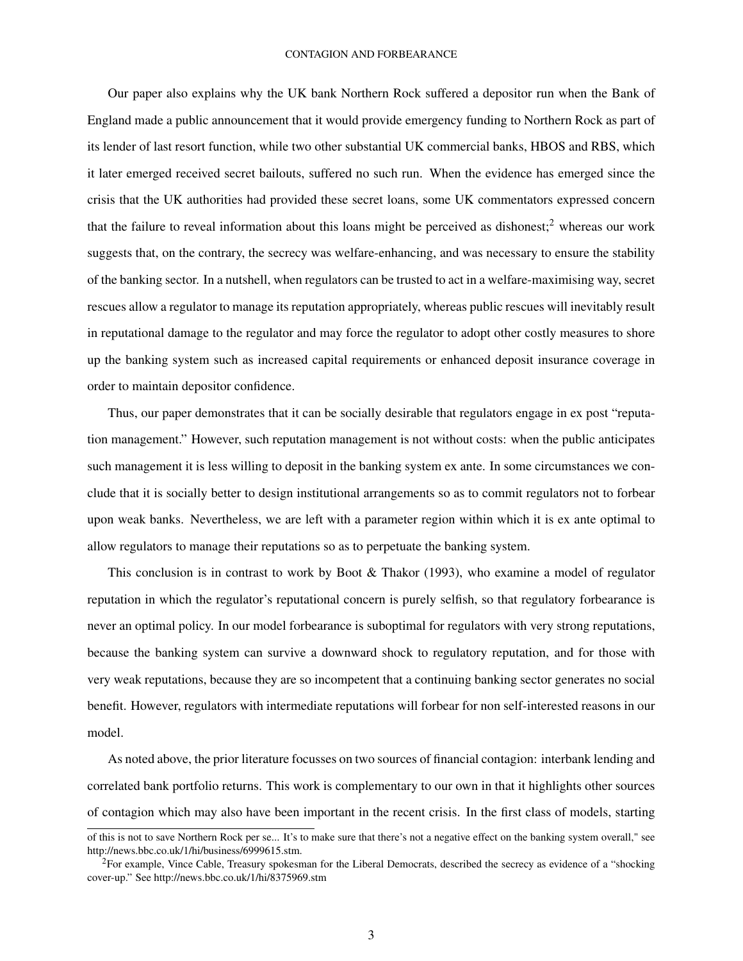Our paper also explains why the UK bank Northern Rock suffered a depositor run when the Bank of England made a public announcement that it would provide emergency funding to Northern Rock as part of its lender of last resort function, while two other substantial UK commercial banks, HBOS and RBS, which it later emerged received secret bailouts, suffered no such run. When the evidence has emerged since the crisis that the UK authorities had provided these secret loans, some UK commentators expressed concern that the failure to reveal information about this loans might be perceived as dishonest;<sup>2</sup> whereas our work suggests that, on the contrary, the secrecy was welfare-enhancing, and was necessary to ensure the stability of the banking sector. In a nutshell, when regulators can be trusted to act in a welfare-maximising way, secret rescues allow a regulator to manage its reputation appropriately, whereas public rescues will inevitably result in reputational damage to the regulator and may force the regulator to adopt other costly measures to shore up the banking system such as increased capital requirements or enhanced deposit insurance coverage in order to maintain depositor confidence.

Thus, our paper demonstrates that it can be socially desirable that regulators engage in ex post "reputation management." However, such reputation management is not without costs: when the public anticipates such management it is less willing to deposit in the banking system ex ante. In some circumstances we conclude that it is socially better to design institutional arrangements so as to commit regulators not to forbear upon weak banks. Nevertheless, we are left with a parameter region within which it is ex ante optimal to allow regulators to manage their reputations so as to perpetuate the banking system.

This conclusion is in contrast to work by Boot & Thakor (1993), who examine a model of regulator reputation in which the regulator's reputational concern is purely selfish, so that regulatory forbearance is never an optimal policy. In our model forbearance is suboptimal for regulators with very strong reputations, because the banking system can survive a downward shock to regulatory reputation, and for those with very weak reputations, because they are so incompetent that a continuing banking sector generates no social benefit. However, regulators with intermediate reputations will forbear for non self-interested reasons in our model.

As noted above, the prior literature focusses on two sources of financial contagion: interbank lending and correlated bank portfolio returns. This work is complementary to our own in that it highlights other sources of contagion which may also have been important in the recent crisis. In the first class of models, starting

of this is not to save Northern Rock per se... It's to make sure that there's not a negative effect on the banking system overall," see http://news.bbc.co.uk/1/hi/business/6999615.stm.

<sup>&</sup>lt;sup>2</sup>For example, Vince Cable, Treasury spokesman for the Liberal Democrats, described the secrecy as evidence of a "shocking" cover-up." See http://news.bbc.co.uk/1/hi/8375969.stm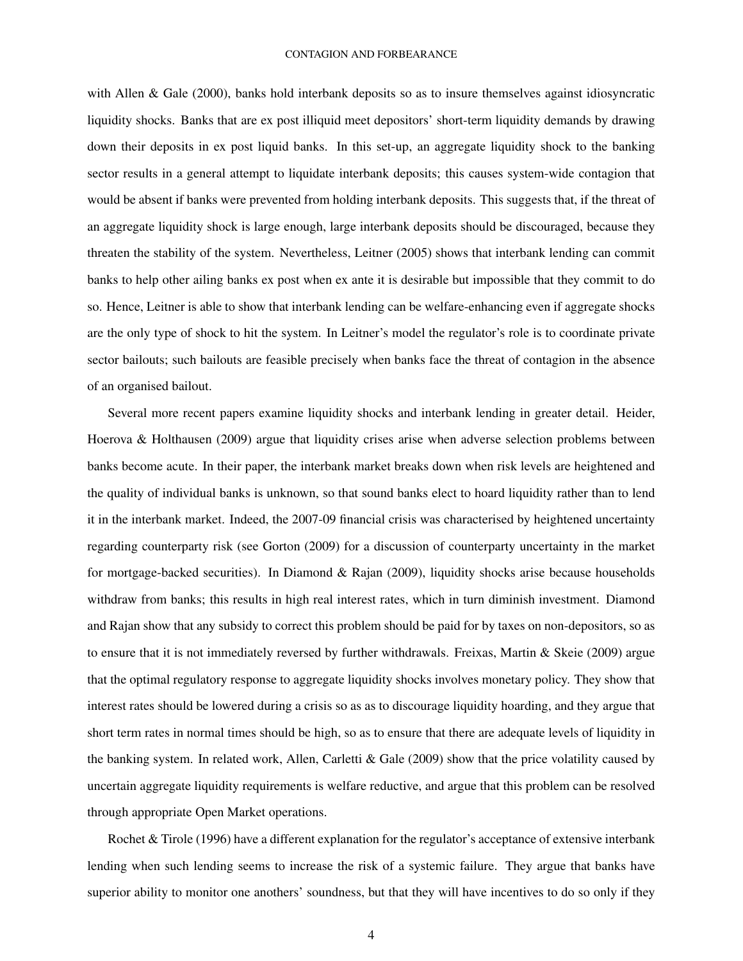with Allen & Gale (2000), banks hold interbank deposits so as to insure themselves against idiosyncratic liquidity shocks. Banks that are ex post illiquid meet depositors' short-term liquidity demands by drawing down their deposits in ex post liquid banks. In this set-up, an aggregate liquidity shock to the banking sector results in a general attempt to liquidate interbank deposits; this causes system-wide contagion that would be absent if banks were prevented from holding interbank deposits. This suggests that, if the threat of an aggregate liquidity shock is large enough, large interbank deposits should be discouraged, because they threaten the stability of the system. Nevertheless, Leitner (2005) shows that interbank lending can commit banks to help other ailing banks ex post when ex ante it is desirable but impossible that they commit to do so. Hence, Leitner is able to show that interbank lending can be welfare-enhancing even if aggregate shocks are the only type of shock to hit the system. In Leitner's model the regulator's role is to coordinate private sector bailouts; such bailouts are feasible precisely when banks face the threat of contagion in the absence of an organised bailout.

Several more recent papers examine liquidity shocks and interbank lending in greater detail. Heider, Hoerova & Holthausen (2009) argue that liquidity crises arise when adverse selection problems between banks become acute. In their paper, the interbank market breaks down when risk levels are heightened and the quality of individual banks is unknown, so that sound banks elect to hoard liquidity rather than to lend it in the interbank market. Indeed, the 2007-09 financial crisis was characterised by heightened uncertainty regarding counterparty risk (see Gorton (2009) for a discussion of counterparty uncertainty in the market for mortgage-backed securities). In Diamond & Rajan (2009), liquidity shocks arise because households withdraw from banks; this results in high real interest rates, which in turn diminish investment. Diamond and Rajan show that any subsidy to correct this problem should be paid for by taxes on non-depositors, so as to ensure that it is not immediately reversed by further withdrawals. Freixas, Martin & Skeie (2009) argue that the optimal regulatory response to aggregate liquidity shocks involves monetary policy. They show that interest rates should be lowered during a crisis so as as to discourage liquidity hoarding, and they argue that short term rates in normal times should be high, so as to ensure that there are adequate levels of liquidity in the banking system. In related work, Allen, Carletti & Gale (2009) show that the price volatility caused by uncertain aggregate liquidity requirements is welfare reductive, and argue that this problem can be resolved through appropriate Open Market operations.

Rochet & Tirole (1996) have a different explanation for the regulator's acceptance of extensive interbank lending when such lending seems to increase the risk of a systemic failure. They argue that banks have superior ability to monitor one anothers' soundness, but that they will have incentives to do so only if they

4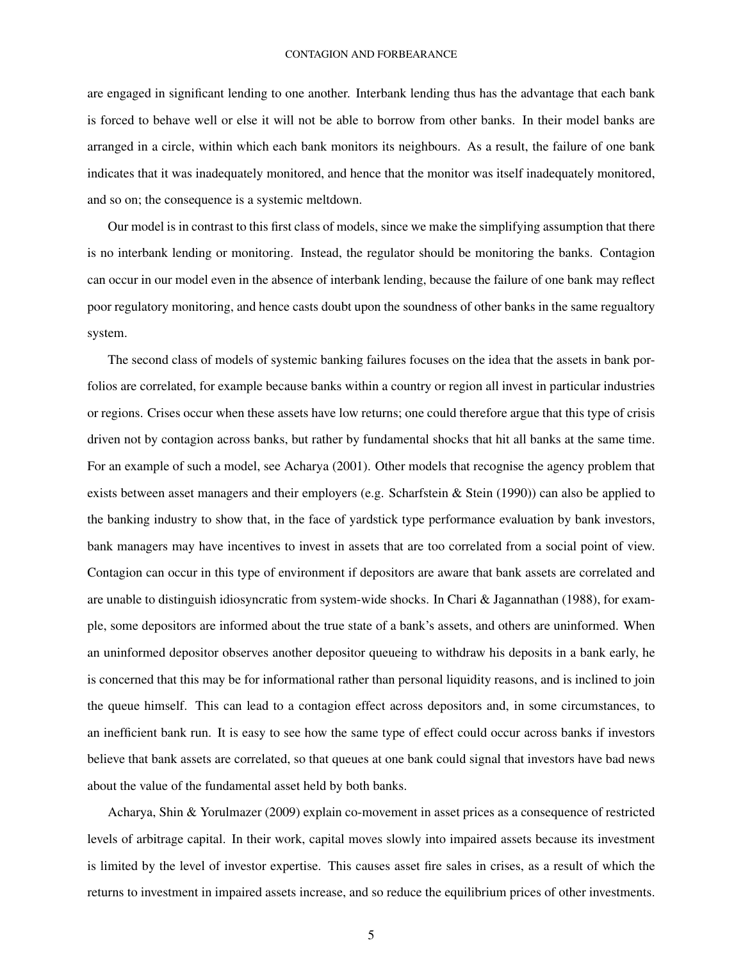are engaged in significant lending to one another. Interbank lending thus has the advantage that each bank is forced to behave well or else it will not be able to borrow from other banks. In their model banks are arranged in a circle, within which each bank monitors its neighbours. As a result, the failure of one bank indicates that it was inadequately monitored, and hence that the monitor was itself inadequately monitored, and so on; the consequence is a systemic meltdown.

Our model is in contrast to this first class of models, since we make the simplifying assumption that there is no interbank lending or monitoring. Instead, the regulator should be monitoring the banks. Contagion can occur in our model even in the absence of interbank lending, because the failure of one bank may reflect poor regulatory monitoring, and hence casts doubt upon the soundness of other banks in the same regualtory system.

The second class of models of systemic banking failures focuses on the idea that the assets in bank porfolios are correlated, for example because banks within a country or region all invest in particular industries or regions. Crises occur when these assets have low returns; one could therefore argue that this type of crisis driven not by contagion across banks, but rather by fundamental shocks that hit all banks at the same time. For an example of such a model, see Acharya (2001). Other models that recognise the agency problem that exists between asset managers and their employers (e.g. Scharfstein & Stein (1990)) can also be applied to the banking industry to show that, in the face of yardstick type performance evaluation by bank investors, bank managers may have incentives to invest in assets that are too correlated from a social point of view. Contagion can occur in this type of environment if depositors are aware that bank assets are correlated and are unable to distinguish idiosyncratic from system-wide shocks. In Chari & Jagannathan (1988), for example, some depositors are informed about the true state of a bank's assets, and others are uninformed. When an uninformed depositor observes another depositor queueing to withdraw his deposits in a bank early, he is concerned that this may be for informational rather than personal liquidity reasons, and is inclined to join the queue himself. This can lead to a contagion effect across depositors and, in some circumstances, to an inefficient bank run. It is easy to see how the same type of effect could occur across banks if investors believe that bank assets are correlated, so that queues at one bank could signal that investors have bad news about the value of the fundamental asset held by both banks.

Acharya, Shin & Yorulmazer (2009) explain co-movement in asset prices as a consequence of restricted levels of arbitrage capital. In their work, capital moves slowly into impaired assets because its investment is limited by the level of investor expertise. This causes asset fire sales in crises, as a result of which the returns to investment in impaired assets increase, and so reduce the equilibrium prices of other investments.

5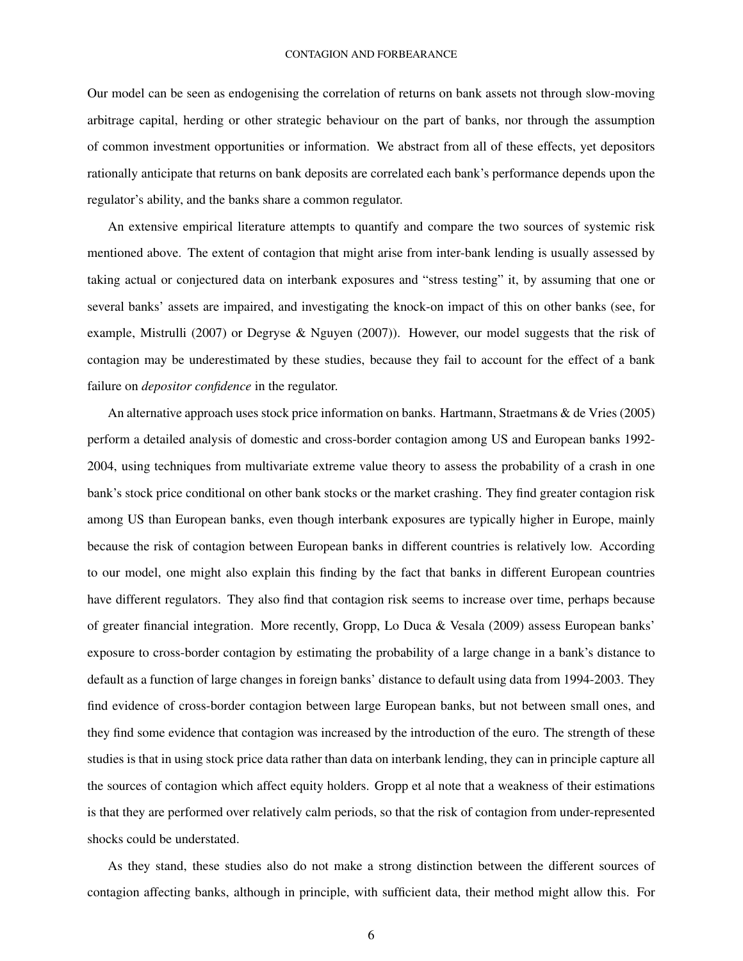Our model can be seen as endogenising the correlation of returns on bank assets not through slow-moving arbitrage capital, herding or other strategic behaviour on the part of banks, nor through the assumption of common investment opportunities or information. We abstract from all of these effects, yet depositors rationally anticipate that returns on bank deposits are correlated each bank's performance depends upon the regulator's ability, and the banks share a common regulator.

An extensive empirical literature attempts to quantify and compare the two sources of systemic risk mentioned above. The extent of contagion that might arise from inter-bank lending is usually assessed by taking actual or conjectured data on interbank exposures and "stress testing" it, by assuming that one or several banks' assets are impaired, and investigating the knock-on impact of this on other banks (see, for example, Mistrulli (2007) or Degryse & Nguyen (2007)). However, our model suggests that the risk of contagion may be underestimated by these studies, because they fail to account for the effect of a bank failure on *depositor confidence* in the regulator.

An alternative approach uses stock price information on banks. Hartmann, Straetmans & de Vries (2005) perform a detailed analysis of domestic and cross-border contagion among US and European banks 1992- 2004, using techniques from multivariate extreme value theory to assess the probability of a crash in one bank's stock price conditional on other bank stocks or the market crashing. They find greater contagion risk among US than European banks, even though interbank exposures are typically higher in Europe, mainly because the risk of contagion between European banks in different countries is relatively low. According to our model, one might also explain this finding by the fact that banks in different European countries have different regulators. They also find that contagion risk seems to increase over time, perhaps because of greater financial integration. More recently, Gropp, Lo Duca & Vesala (2009) assess European banks' exposure to cross-border contagion by estimating the probability of a large change in a bank's distance to default as a function of large changes in foreign banks' distance to default using data from 1994-2003. They find evidence of cross-border contagion between large European banks, but not between small ones, and they find some evidence that contagion was increased by the introduction of the euro. The strength of these studies is that in using stock price data rather than data on interbank lending, they can in principle capture all the sources of contagion which affect equity holders. Gropp et al note that a weakness of their estimations is that they are performed over relatively calm periods, so that the risk of contagion from under-represented shocks could be understated.

As they stand, these studies also do not make a strong distinction between the different sources of contagion affecting banks, although in principle, with sufficient data, their method might allow this. For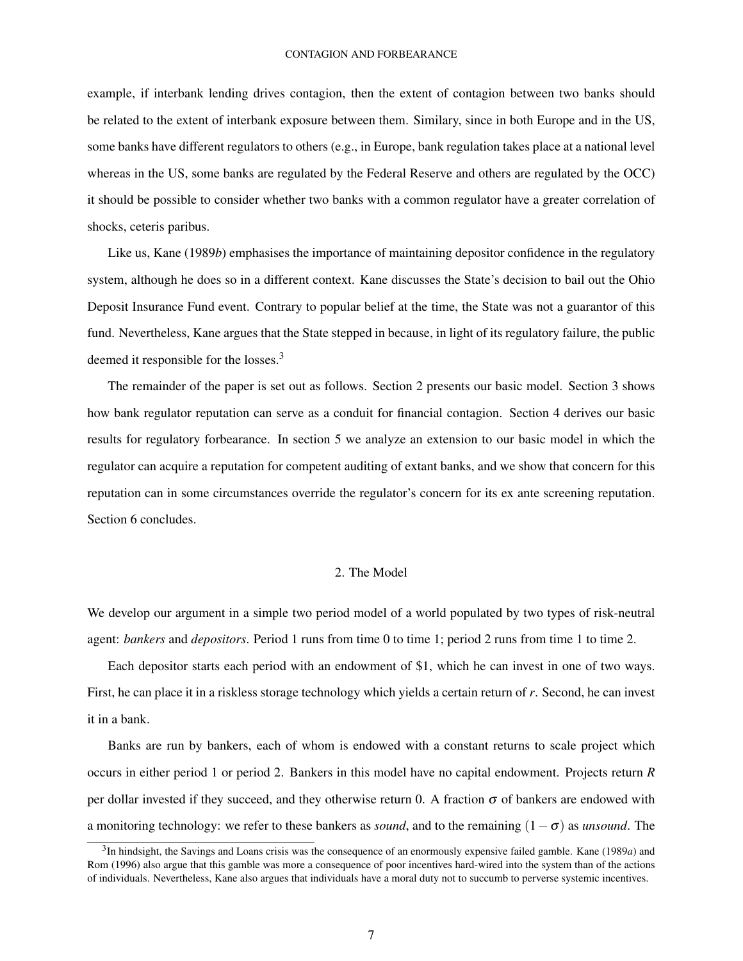example, if interbank lending drives contagion, then the extent of contagion between two banks should be related to the extent of interbank exposure between them. Similary, since in both Europe and in the US, some banks have different regulators to others (e.g., in Europe, bank regulation takes place at a national level whereas in the US, some banks are regulated by the Federal Reserve and others are regulated by the OCC) it should be possible to consider whether two banks with a common regulator have a greater correlation of shocks, ceteris paribus.

Like us, Kane (1989*b*) emphasises the importance of maintaining depositor confidence in the regulatory system, although he does so in a different context. Kane discusses the State's decision to bail out the Ohio Deposit Insurance Fund event. Contrary to popular belief at the time, the State was not a guarantor of this fund. Nevertheless, Kane argues that the State stepped in because, in light of its regulatory failure, the public deemed it responsible for the losses.<sup>3</sup>

The remainder of the paper is set out as follows. Section 2 presents our basic model. Section 3 shows how bank regulator reputation can serve as a conduit for financial contagion. Section 4 derives our basic results for regulatory forbearance. In section 5 we analyze an extension to our basic model in which the regulator can acquire a reputation for competent auditing of extant banks, and we show that concern for this reputation can in some circumstances override the regulator's concern for its ex ante screening reputation. Section 6 concludes.

## 2. The Model

We develop our argument in a simple two period model of a world populated by two types of risk-neutral agent: *bankers* and *depositors*. Period 1 runs from time 0 to time 1; period 2 runs from time 1 to time 2.

Each depositor starts each period with an endowment of \$1, which he can invest in one of two ways. First, he can place it in a riskless storage technology which yields a certain return of *r*. Second, he can invest it in a bank.

Banks are run by bankers, each of whom is endowed with a constant returns to scale project which occurs in either period 1 or period 2. Bankers in this model have no capital endowment. Projects return *R* per dollar invested if they succeed, and they otherwise return 0. A fraction  $\sigma$  of bankers are endowed with a monitoring technology: we refer to these bankers as *sound*, and to the remaining (1−σ) as *unsound*. The

<sup>3</sup> In hindsight, the Savings and Loans crisis was the consequence of an enormously expensive failed gamble. Kane (1989*a*) and Rom (1996) also argue that this gamble was more a consequence of poor incentives hard-wired into the system than of the actions of individuals. Nevertheless, Kane also argues that individuals have a moral duty not to succumb to perverse systemic incentives.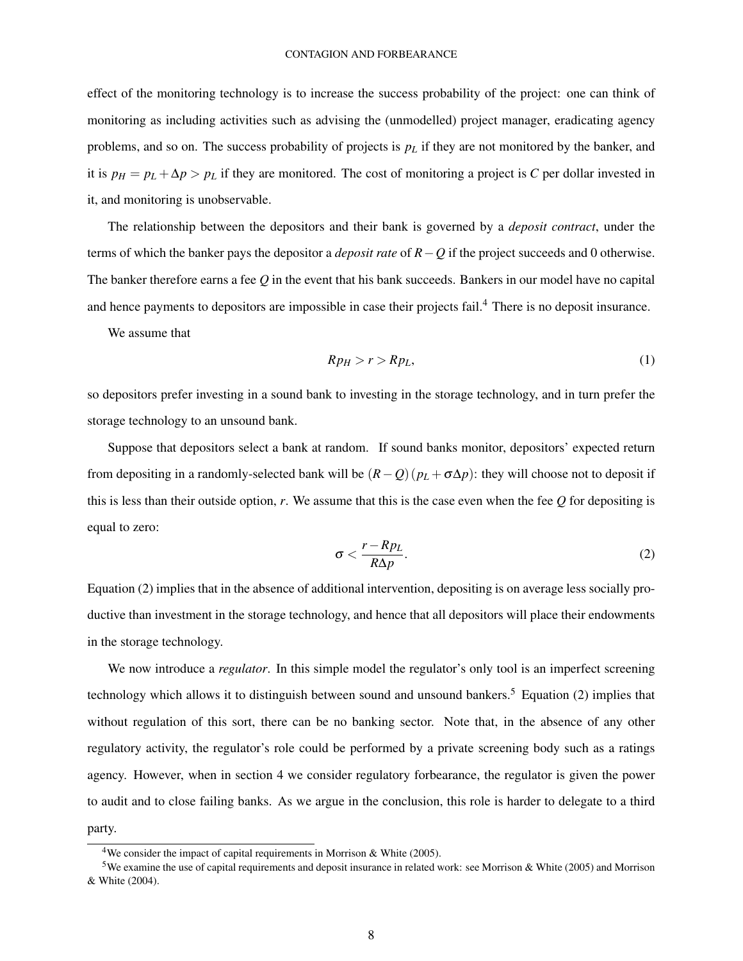effect of the monitoring technology is to increase the success probability of the project: one can think of monitoring as including activities such as advising the (unmodelled) project manager, eradicating agency problems, and so on. The success probability of projects is  $p<sub>L</sub>$  if they are not monitored by the banker, and it is  $p_H = p_L + \Delta p > p_L$  if they are monitored. The cost of monitoring a project is *C* per dollar invested in it, and monitoring is unobservable.

The relationship between the depositors and their bank is governed by a *deposit contract*, under the terms of which the banker pays the depositor a *deposit rate* of *R*−*Q* if the project succeeds and 0 otherwise. The banker therefore earns a fee *Q* in the event that his bank succeeds. Bankers in our model have no capital and hence payments to depositors are impossible in case their projects fail.<sup>4</sup> There is no deposit insurance.

We assume that

$$
Rp_H > r > Rp_L,\tag{1}
$$

so depositors prefer investing in a sound bank to investing in the storage technology, and in turn prefer the storage technology to an unsound bank.

Suppose that depositors select a bank at random. If sound banks monitor, depositors' expected return from depositing in a randomly-selected bank will be  $(R-Q)(p_L + \sigma \Delta p)$ : they will choose not to deposit if this is less than their outside option, *r*. We assume that this is the case even when the fee *Q* for depositing is equal to zero:

$$
\sigma < \frac{r - R p_L}{R \Delta p}.\tag{2}
$$

Equation (2) implies that in the absence of additional intervention, depositing is on average less socially productive than investment in the storage technology, and hence that all depositors will place their endowments in the storage technology.

We now introduce a *regulator*. In this simple model the regulator's only tool is an imperfect screening technology which allows it to distinguish between sound and unsound bankers.<sup>5</sup> Equation (2) implies that without regulation of this sort, there can be no banking sector. Note that, in the absence of any other regulatory activity, the regulator's role could be performed by a private screening body such as a ratings agency. However, when in section 4 we consider regulatory forbearance, the regulator is given the power to audit and to close failing banks. As we argue in the conclusion, this role is harder to delegate to a third party.

<sup>&</sup>lt;sup>4</sup>We consider the impact of capital requirements in Morrison & White (2005).

<sup>5</sup>We examine the use of capital requirements and deposit insurance in related work: see Morrison & White (2005) and Morrison & White (2004).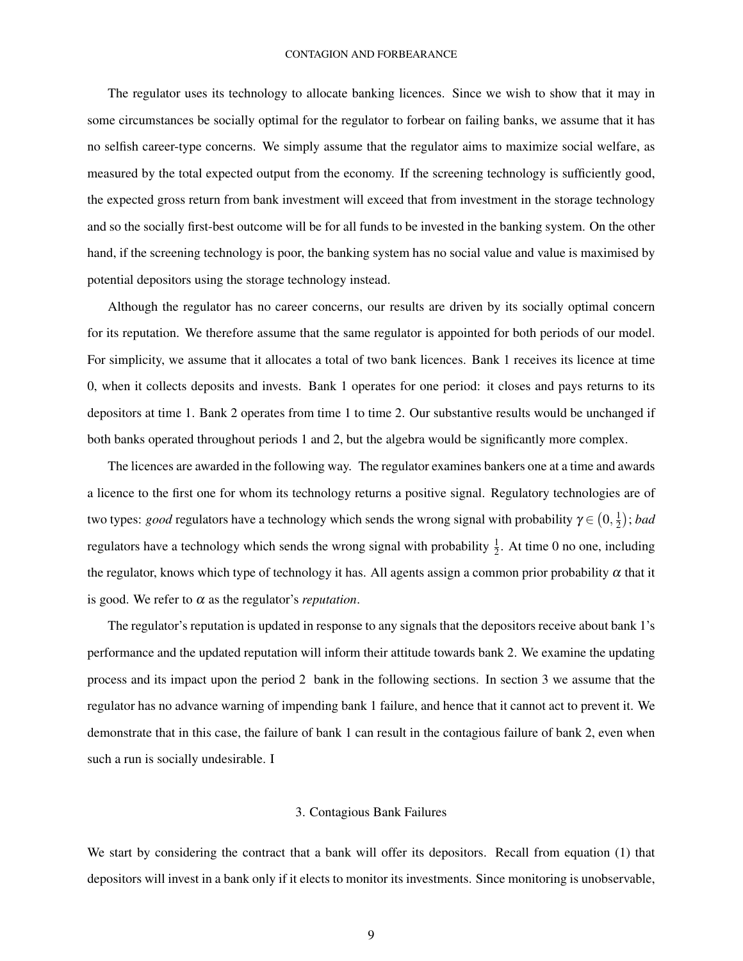The regulator uses its technology to allocate banking licences. Since we wish to show that it may in some circumstances be socially optimal for the regulator to forbear on failing banks, we assume that it has no selfish career-type concerns. We simply assume that the regulator aims to maximize social welfare, as measured by the total expected output from the economy. If the screening technology is sufficiently good, the expected gross return from bank investment will exceed that from investment in the storage technology and so the socially first-best outcome will be for all funds to be invested in the banking system. On the other hand, if the screening technology is poor, the banking system has no social value and value is maximised by potential depositors using the storage technology instead.

Although the regulator has no career concerns, our results are driven by its socially optimal concern for its reputation. We therefore assume that the same regulator is appointed for both periods of our model. For simplicity, we assume that it allocates a total of two bank licences. Bank 1 receives its licence at time 0, when it collects deposits and invests. Bank 1 operates for one period: it closes and pays returns to its depositors at time 1. Bank 2 operates from time 1 to time 2. Our substantive results would be unchanged if both banks operated throughout periods 1 and 2, but the algebra would be significantly more complex.

The licences are awarded in the following way. The regulator examines bankers one at a time and awards a licence to the first one for whom its technology returns a positive signal. Regulatory technologies are of two types: good regulators have a technology which sends the wrong signal with probability  $\gamma$   $\in$   $(0,\frac{1}{2})$ 2 ; *bad* regulators have a technology which sends the wrong signal with probability  $\frac{1}{2}$ . At time 0 no one, including the regulator, knows which type of technology it has. All agents assign a common prior probability  $\alpha$  that it is good. We refer to  $\alpha$  as the regulator's *reputation*.

The regulator's reputation is updated in response to any signals that the depositors receive about bank 1's performance and the updated reputation will inform their attitude towards bank 2. We examine the updating process and its impact upon the period 2 bank in the following sections. In section 3 we assume that the regulator has no advance warning of impending bank 1 failure, and hence that it cannot act to prevent it. We demonstrate that in this case, the failure of bank 1 can result in the contagious failure of bank 2, even when such a run is socially undesirable. I

## 3. Contagious Bank Failures

We start by considering the contract that a bank will offer its depositors. Recall from equation (1) that depositors will invest in a bank only if it elects to monitor its investments. Since monitoring is unobservable,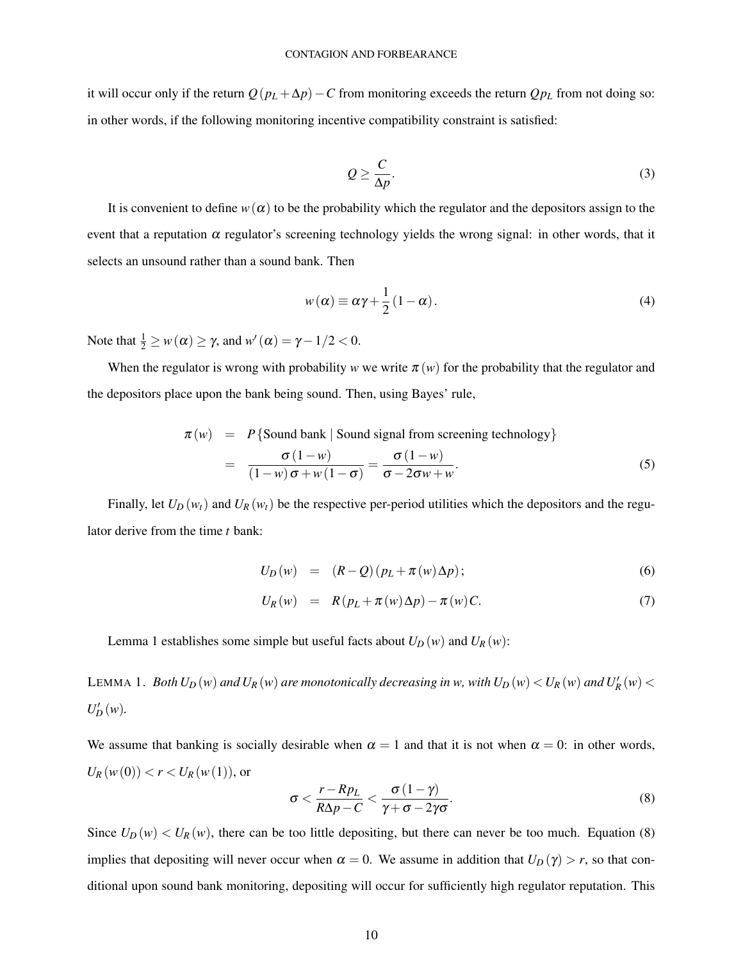it will occur only if the return  $Q(p_L + \Delta p) - C$  from monitoring exceeds the return  $Qp_L$  from not doing so: in other words, if the following monitoring incentive compatibility constraint is satisfied:

$$
Q \ge \frac{C}{\Delta p}.\tag{3}
$$

It is convenient to define  $w(\alpha)$  to be the probability which the regulator and the depositors assign to the event that a reputation  $\alpha$  regulator's screening technology yields the wrong signal: in other words, that it selects an unsound rather than a sound bank. Then

$$
w(\alpha) \equiv \alpha \gamma + \frac{1}{2} (1 - \alpha). \tag{4}
$$

Note that  $\frac{1}{2} \geq w(\alpha) \geq \gamma$ , and  $w'(\alpha) = \gamma - 1/2 < 0$ .

When the regulator is wrong with probability *w* we write  $\pi(w)$  for the probability that the regulator and the depositors place upon the bank being sound. Then, using Bayes' rule,

$$
\pi(w) = P\{\text{Sound bank} \mid \text{Sound signal from screening technology}\}\
$$

$$
= \frac{\sigma(1-w)}{(1-w)\sigma + w(1-\sigma)} = \frac{\sigma(1-w)}{\sigma - 2\sigma w + w}.
$$
(5)

Finally, let  $U_D(w_t)$  and  $U_R(w_t)$  be the respective per-period utilities which the depositors and the regulator derive from the time *t* bank:

$$
U_D(w) = (R - Q)(p_L + \pi(w)\Delta p); \qquad (6)
$$

$$
U_R(w) = R(p_L + \pi(w)\Delta p) - \pi(w)C. \tag{7}
$$

Lemma 1 establishes some simple but useful facts about  $U_D(w)$  and  $U_R(w)$ :

LEMMA 1. *Both*  $U_D(w)$  and  $U_R(w)$  are monotonically decreasing in w, with  $U_D(w) < U_R(w)$  and  $U_R'(w) <$  $U_D'(w)$ .

We assume that banking is socially desirable when  $\alpha = 1$  and that it is not when  $\alpha = 0$ : in other words,  $U_R(w(0)) < r < U_R(w(1))$ , or

$$
\sigma < \frac{r - R p_L}{R \Delta p - C} < \frac{\sigma \left( 1 - \gamma \right)}{\gamma + \sigma - 2 \gamma \sigma}.\tag{8}
$$

Since  $U_D(w) < U_R(w)$ , there can be too little depositing, but there can never be too much. Equation (8) implies that depositing will never occur when  $\alpha = 0$ . We assume in addition that  $U_D(\gamma) > r$ , so that conditional upon sound bank monitoring, depositing will occur for sufficiently high regulator reputation. This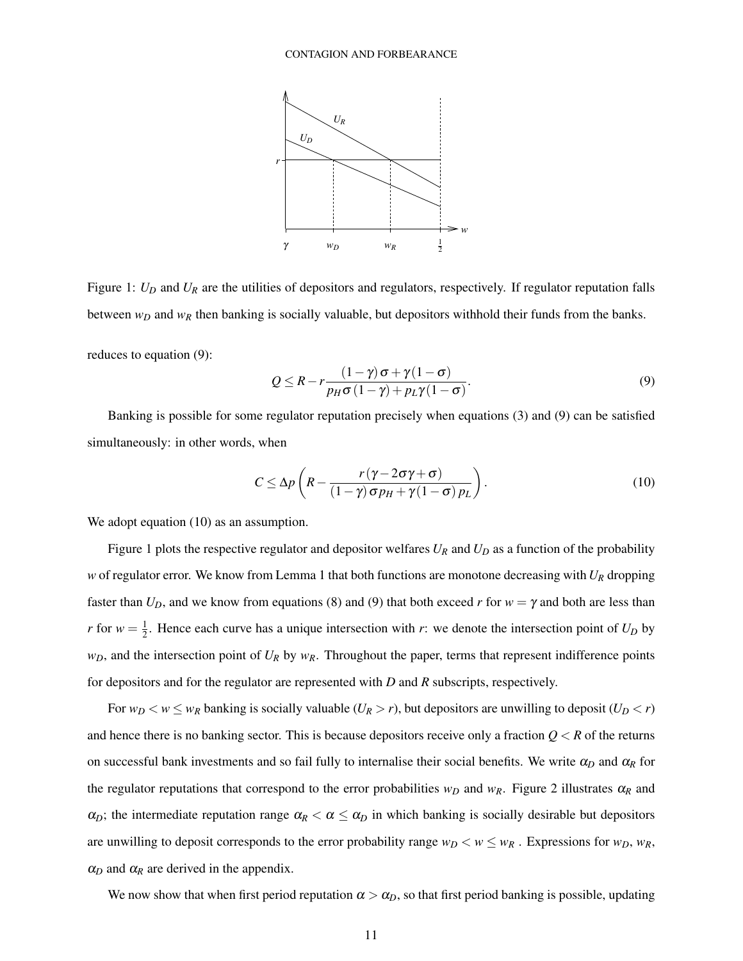

Figure 1:  $U_D$  and  $U_R$  are the utilities of depositors and regulators, respectively. If regulator reputation falls between *w<sup>D</sup>* and *w<sup>R</sup>* then banking is socially valuable, but depositors withhold their funds from the banks.

reduces to equation (9):

$$
Q \le R - r \frac{(1 - \gamma)\sigma + \gamma(1 - \sigma)}{p_H \sigma (1 - \gamma) + p_L \gamma (1 - \sigma)}.
$$
\n(9)

Banking is possible for some regulator reputation precisely when equations (3) and (9) can be satisfied simultaneously: in other words, when

$$
C \leq \Delta p \left( R - \frac{r(\gamma - 2\sigma \gamma + \sigma)}{(1 - \gamma)\sigma p_H + \gamma (1 - \sigma) p_L} \right). \tag{10}
$$

We adopt equation  $(10)$  as an assumption.

Figure 1 plots the respective regulator and depositor welfares  $U_R$  and  $U_D$  as a function of the probability *w* of regulator error. We know from Lemma 1 that both functions are monotone decreasing with *U<sup>R</sup>* dropping faster than  $U_D$ , and we know from equations (8) and (9) that both exceed *r* for  $w = \gamma$  and both are less than *r* for  $w = \frac{1}{2}$  $\frac{1}{2}$ . Hence each curve has a unique intersection with *r*: we denote the intersection point of  $U_D$  by  $w_D$ , and the intersection point of  $U_R$  by  $w_R$ . Throughout the paper, terms that represent indifference points for depositors and for the regulator are represented with *D* and *R* subscripts, respectively.

For  $w_D < w \leq w_R$  banking is socially valuable  $(U_R > r)$ , but depositors are unwilling to deposit  $(U_D < r)$ and hence there is no banking sector. This is because depositors receive only a fraction  $Q < R$  of the returns on successful bank investments and so fail fully to internalise their social benefits. We write  $\alpha_D$  and  $\alpha_R$  for the regulator reputations that correspond to the error probabilities  $w_D$  and  $w_R$ . Figure 2 illustrates  $\alpha_R$  and  $\alpha_D$ ; the intermediate reputation range  $\alpha_R < \alpha \leq \alpha_D$  in which banking is socially desirable but depositors are unwilling to deposit corresponds to the error probability range  $w_D < w \leq w_R$ . Expressions for  $w_D$ ,  $w_R$ ,  $\alpha_D$  and  $\alpha_R$  are derived in the appendix.

We now show that when first period reputation  $\alpha > \alpha_D$ , so that first period banking is possible, updating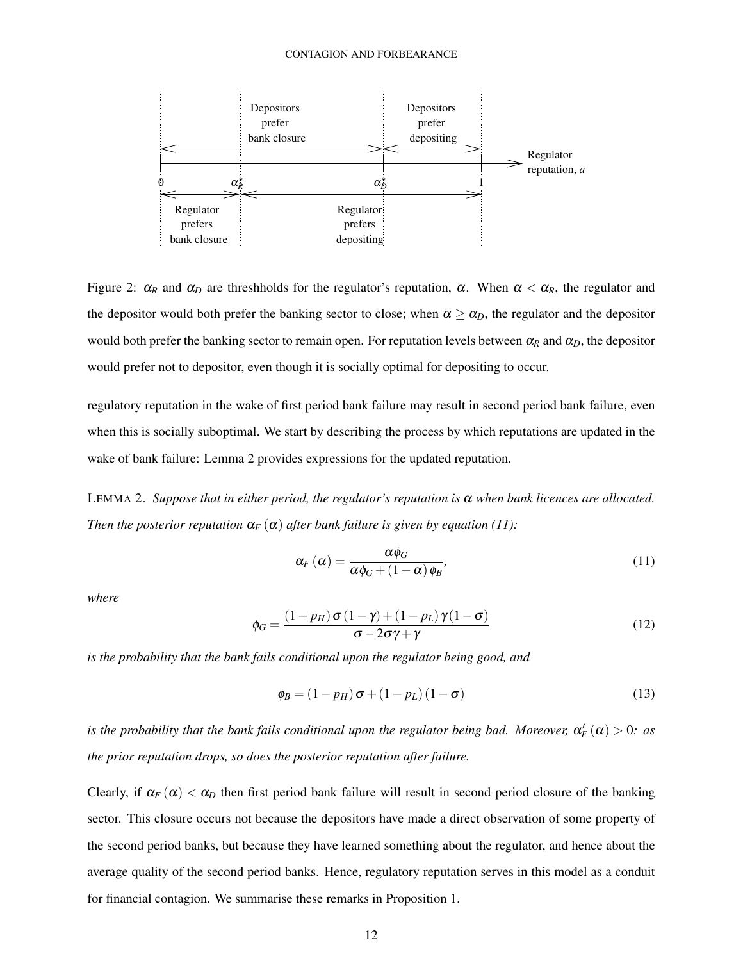

Figure 2:  $\alpha_R$  and  $\alpha_D$  are threshholds for the regulator's reputation, α. When  $\alpha < \alpha_R$ , the regulator and the depositor would both prefer the banking sector to close; when  $\alpha \geq \alpha_D$ , the regulator and the depositor would both prefer the banking sector to remain open. For reputation levels between  $\alpha_R$  and  $\alpha_D$ , the depositor would prefer not to depositor, even though it is socially optimal for depositing to occur.

regulatory reputation in the wake of first period bank failure may result in second period bank failure, even when this is socially suboptimal. We start by describing the process by which reputations are updated in the wake of bank failure: Lemma 2 provides expressions for the updated reputation.

LEMMA 2. *Suppose that in either period, the regulator's reputation is*  $\alpha$  *when bank licences are allocated. Then the posterior reputation*  $\alpha_F(\alpha)$  *after bank failure is given by equation* (11):

$$
\alpha_F(\alpha) = \frac{\alpha \phi_G}{\alpha \phi_G + (1 - \alpha) \phi_B},\tag{11}
$$

*where*

$$
\phi_G = \frac{(1 - p_H) \sigma (1 - \gamma) + (1 - p_L) \gamma (1 - \sigma)}{\sigma - 2\sigma \gamma + \gamma}
$$
\n(12)

*is the probability that the bank fails conditional upon the regulator being good, and*

$$
\phi_B = (1 - p_H) \sigma + (1 - p_L) (1 - \sigma) \tag{13}
$$

*is the probability that the bank fails conditional upon the regulator being bad. Moreover,*  $\alpha_F'(\alpha) > 0$ *: as the prior reputation drops, so does the posterior reputation after failure.*

Clearly, if  $\alpha_F(\alpha) < \alpha_D$  then first period bank failure will result in second period closure of the banking sector. This closure occurs not because the depositors have made a direct observation of some property of the second period banks, but because they have learned something about the regulator, and hence about the average quality of the second period banks. Hence, regulatory reputation serves in this model as a conduit for financial contagion. We summarise these remarks in Proposition 1.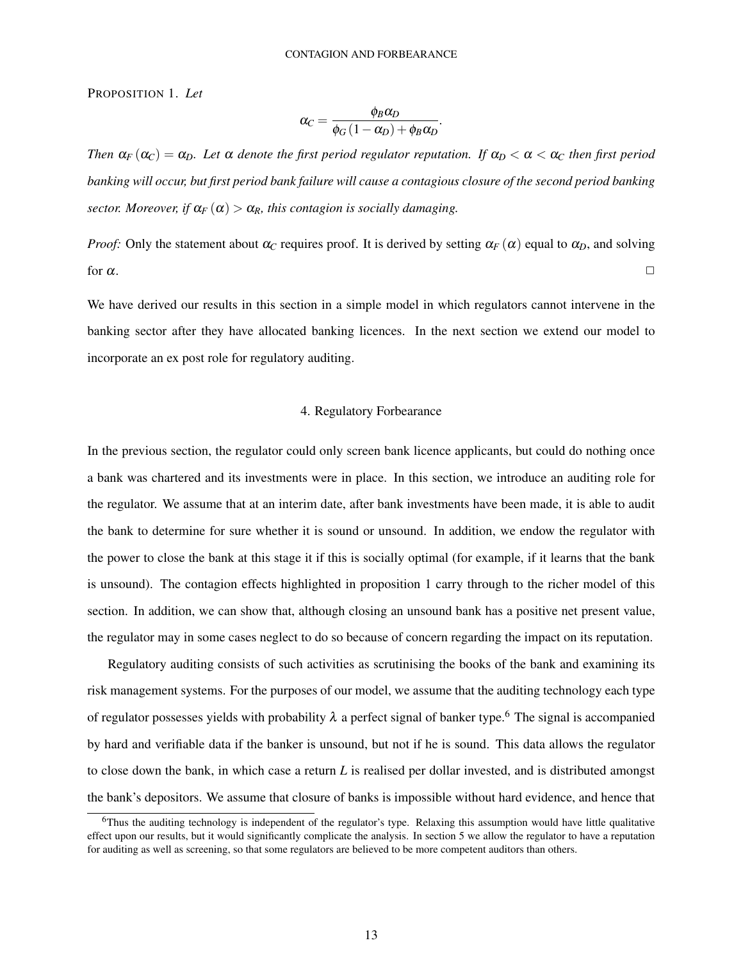PROPOSITION 1. *Let*

$$
\alpha_C = \frac{\phi_B \alpha_D}{\phi_G \left(1 - \alpha_D\right) + \phi_B \alpha_D}.
$$

*Then*  $\alpha_F(\alpha_C) = \alpha_D$ *. Let*  $\alpha$  *denote the first period regulator reputation. If*  $\alpha_D < \alpha < \alpha_C$  *then first period banking will occur, but first period bank failure will cause a contagious closure of the second period banking sector. Moreover, if*  $\alpha_F(\alpha) > \alpha_R$ *, this contagion is socially damaging.* 

*Proof:* Only the statement about  $\alpha_C$  requires proof. It is derived by setting  $\alpha_F(\alpha)$  equal to  $\alpha_D$ , and solving for  $\alpha$ .

We have derived our results in this section in a simple model in which regulators cannot intervene in the banking sector after they have allocated banking licences. In the next section we extend our model to incorporate an ex post role for regulatory auditing.

#### 4. Regulatory Forbearance

In the previous section, the regulator could only screen bank licence applicants, but could do nothing once a bank was chartered and its investments were in place. In this section, we introduce an auditing role for the regulator. We assume that at an interim date, after bank investments have been made, it is able to audit the bank to determine for sure whether it is sound or unsound. In addition, we endow the regulator with the power to close the bank at this stage it if this is socially optimal (for example, if it learns that the bank is unsound). The contagion effects highlighted in proposition 1 carry through to the richer model of this section. In addition, we can show that, although closing an unsound bank has a positive net present value, the regulator may in some cases neglect to do so because of concern regarding the impact on its reputation.

Regulatory auditing consists of such activities as scrutinising the books of the bank and examining its risk management systems. For the purposes of our model, we assume that the auditing technology each type of regulator possesses yields with probability  $\lambda$  a perfect signal of banker type.<sup>6</sup> The signal is accompanied by hard and verifiable data if the banker is unsound, but not if he is sound. This data allows the regulator to close down the bank, in which case a return *L* is realised per dollar invested, and is distributed amongst the bank's depositors. We assume that closure of banks is impossible without hard evidence, and hence that

<sup>6</sup>Thus the auditing technology is independent of the regulator's type. Relaxing this assumption would have little qualitative effect upon our results, but it would significantly complicate the analysis. In section 5 we allow the regulator to have a reputation for auditing as well as screening, so that some regulators are believed to be more competent auditors than others.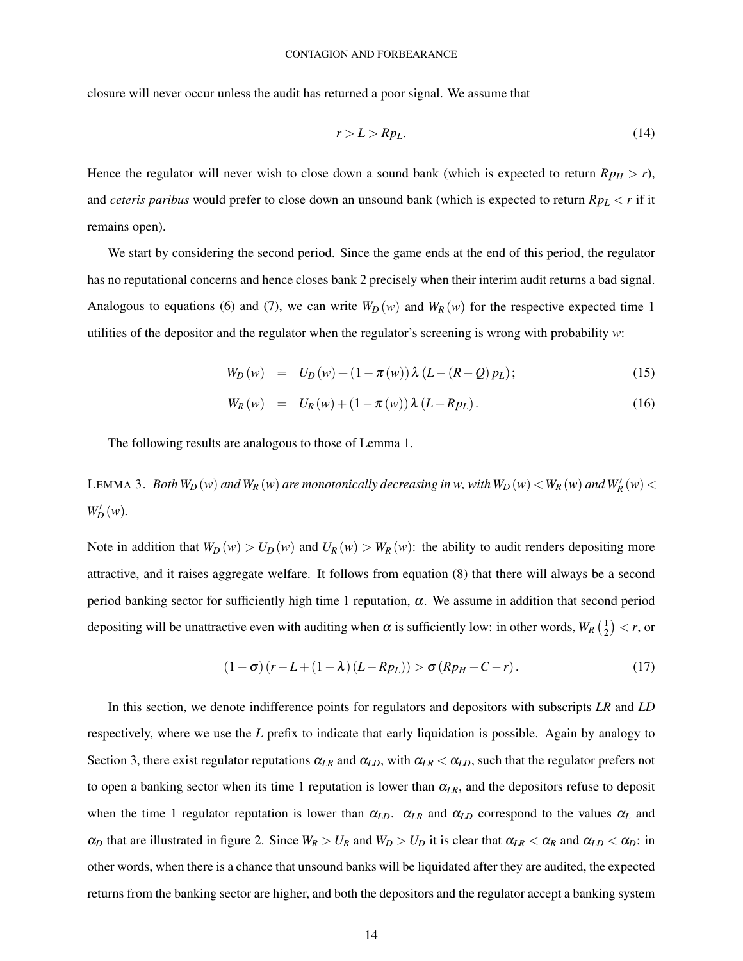closure will never occur unless the audit has returned a poor signal. We assume that

$$
r > L > Rp_L. \tag{14}
$$

Hence the regulator will never wish to close down a sound bank (which is expected to return  $Rp<sub>H</sub> > r$ ), and *ceteris paribus* would prefer to close down an unsound bank (which is expected to return *Rp<sup>L</sup>* < *r* if it remains open).

We start by considering the second period. Since the game ends at the end of this period, the regulator has no reputational concerns and hence closes bank 2 precisely when their interim audit returns a bad signal. Analogous to equations (6) and (7), we can write  $W_D(w)$  and  $W_R(w)$  for the respective expected time 1 utilities of the depositor and the regulator when the regulator's screening is wrong with probability *w*:

$$
W_D(w) = U_D(w) + (1 - \pi(w)) \lambda (L - (R - Q) p_L); \qquad (15)
$$

$$
W_R(w) = U_R(w) + (1 - \pi(w)) \lambda (L - R p_L). \tag{16}
$$

The following results are analogous to those of Lemma 1.

LEMMA 3. *Both*  $W_D(w)$  and  $W_R(w)$  are monotonically decreasing in w, with  $W_D(w) < W_R(w)$  and  $W_R'(w) <$  $W'_{D}(w)$ .

Note in addition that  $W_D(w) > U_D(w)$  and  $U_R(w) > W_R(w)$ : the ability to audit renders depositing more attractive, and it raises aggregate welfare. It follows from equation (8) that there will always be a second period banking sector for sufficiently high time 1 reputation,  $\alpha$ . We assume in addition that second period depositing will be unattractive even with auditing when  $\alpha$  is sufficiently low: in other words,  $W_R\left(\frac{1}{2}\right)$  $(\frac{1}{2}) < r$ , or

$$
(1 - \sigma)(r - L + (1 - \lambda)(L - Rp_L)) > \sigma(Rp_H - C - r).
$$
\n(17)

In this section, we denote indifference points for regulators and depositors with subscripts *LR* and *LD* respectively, where we use the *L* prefix to indicate that early liquidation is possible. Again by analogy to Section 3, there exist regulator reputations  $\alpha_{LR}$  and  $\alpha_{LD}$ , with  $\alpha_{LR} < \alpha_{LD}$ , such that the regulator prefers not to open a banking sector when its time 1 reputation is lower than  $\alpha_{LR}$ , and the depositors refuse to deposit when the time 1 regulator reputation is lower than  $\alpha_{LD}$ .  $\alpha_{LR}$  and  $\alpha_{LD}$  correspond to the values  $\alpha_L$  and  $\alpha_D$  that are illustrated in figure 2. Since  $W_R > U_R$  and  $W_D > U_D$  it is clear that  $\alpha_{LR} < \alpha_R$  and  $\alpha_{LD} < \alpha_D$ : in other words, when there is a chance that unsound banks will be liquidated after they are audited, the expected returns from the banking sector are higher, and both the depositors and the regulator accept a banking system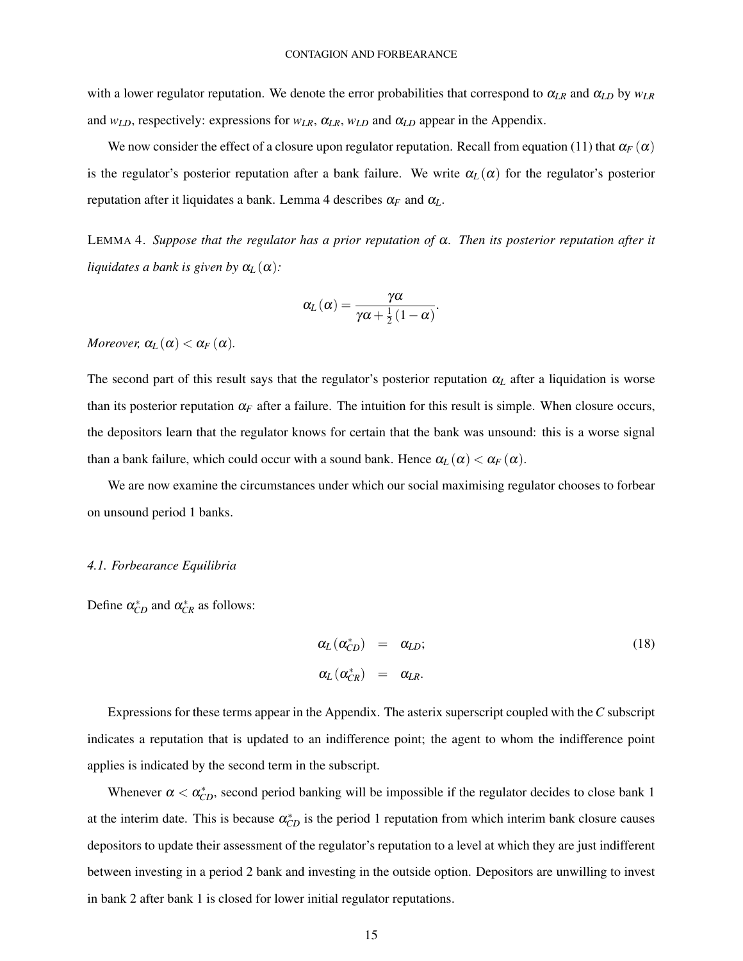with a lower regulator reputation. We denote the error probabilities that correspond to α*LR* and α*LD* by *wLR* and  $w_{LD}$ , respectively: expressions for  $w_{LR}$ ,  $\alpha_{LR}$ ,  $w_{LD}$  and  $\alpha_{LD}$  appear in the Appendix.

We now consider the effect of a closure upon regulator reputation. Recall from equation (11) that  $\alpha_F(\alpha)$ is the regulator's posterior reputation after a bank failure. We write  $\alpha_L(\alpha)$  for the regulator's posterior reputation after it liquidates a bank. Lemma 4 describes  $\alpha_F$  and  $\alpha_L$ .

LEMMA 4. *Suppose that the regulator has a prior reputation of* α*. Then its posterior reputation after it liquidates a bank is given by*  $\alpha_L(\alpha)$ *:* 

$$
\alpha_L(\alpha) = \frac{\gamma\alpha}{\gamma\alpha + \frac{1}{2}(1-\alpha)}.
$$

*Moreover,*  $\alpha_L(\alpha) < \alpha_F(\alpha)$ .

The second part of this result says that the regulator's posterior reputation  $\alpha_L$  after a liquidation is worse than its posterior reputation  $\alpha_F$  after a failure. The intuition for this result is simple. When closure occurs, the depositors learn that the regulator knows for certain that the bank was unsound: this is a worse signal than a bank failure, which could occur with a sound bank. Hence  $\alpha_L(\alpha) < \alpha_F(\alpha)$ .

We are now examine the circumstances under which our social maximising regulator chooses to forbear on unsound period 1 banks.

#### *4.1. Forbearance Equilibria*

Define  $\alpha_{CD}^*$  and  $\alpha_{CR}^*$  as follows:

$$
\alpha_L(\alpha_{CD}^*) = \alpha_{LD};
$$
\n
$$
\alpha_L(\alpha_{CR}^*) = \alpha_{LR}.
$$
\n(18)

Expressions for these terms appear in the Appendix. The asterix superscript coupled with the*C* subscript indicates a reputation that is updated to an indifference point; the agent to whom the indifference point applies is indicated by the second term in the subscript.

Whenever  $\alpha < \alpha_{CD}^*$ , second period banking will be impossible if the regulator decides to close bank 1 at the interim date. This is because  $\alpha_{CD}^*$  is the period 1 reputation from which interim bank closure causes depositors to update their assessment of the regulator's reputation to a level at which they are just indifferent between investing in a period 2 bank and investing in the outside option. Depositors are unwilling to invest in bank 2 after bank 1 is closed for lower initial regulator reputations.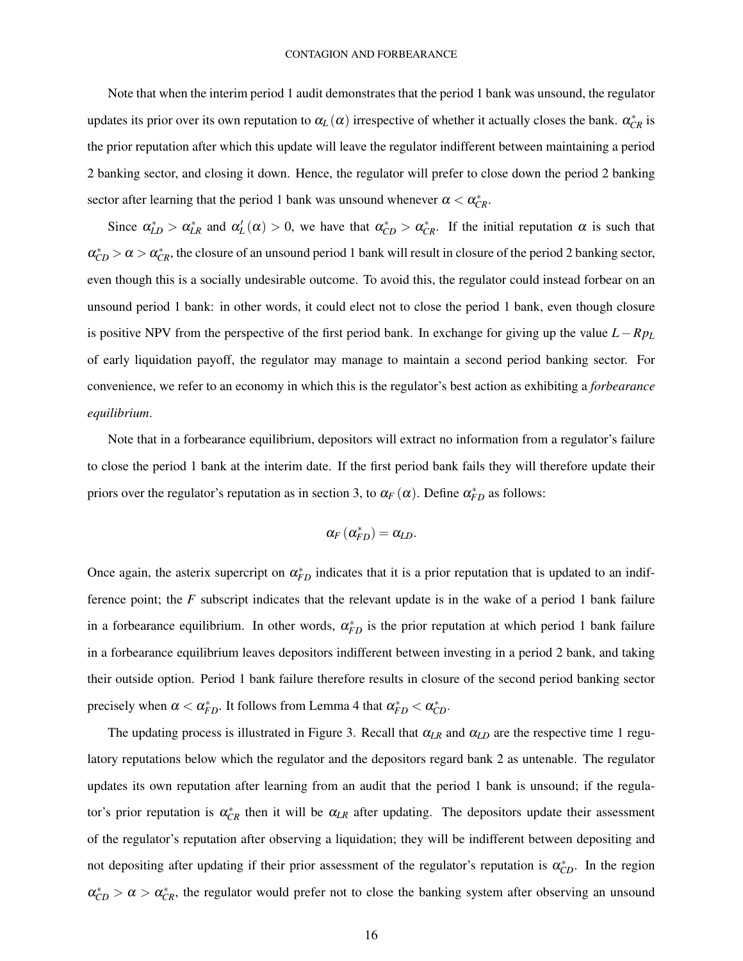Note that when the interim period 1 audit demonstrates that the period 1 bank was unsound, the regulator updates its prior over its own reputation to  $\alpha_L(\alpha)$  irrespective of whether it actually closes the bank.  $\alpha_{CR}^*$  is the prior reputation after which this update will leave the regulator indifferent between maintaining a period 2 banking sector, and closing it down. Hence, the regulator will prefer to close down the period 2 banking sector after learning that the period 1 bank was unsound whenever  $\alpha < \alpha_{CR}^*$ .

Since  $\alpha_{LD}^* > \alpha_{LR}^*$  and  $\alpha_L'(\alpha) > 0$ , we have that  $\alpha_{CD}^* > \alpha_{CR}^*$ . If the initial reputation  $\alpha$  is such that  $\alpha_{CD}^* > \alpha > \alpha_{CR}^*$ , the closure of an unsound period 1 bank will result in closure of the period 2 banking sector, even though this is a socially undesirable outcome. To avoid this, the regulator could instead forbear on an unsound period 1 bank: in other words, it could elect not to close the period 1 bank, even though closure is positive NPV from the perspective of the first period bank. In exchange for giving up the value *L*−*Rp<sup>L</sup>* of early liquidation payoff, the regulator may manage to maintain a second period banking sector. For convenience, we refer to an economy in which this is the regulator's best action as exhibiting a *forbearance equilibrium*.

Note that in a forbearance equilibrium, depositors will extract no information from a regulator's failure to close the period 1 bank at the interim date. If the first period bank fails they will therefore update their priors over the regulator's reputation as in section 3, to  $\alpha_F(\alpha)$ . Define  $\alpha_{FD}^*$  as follows:

$$
\alpha_F(\alpha_{FD}^*)=\alpha_{LD}.
$$

Once again, the asterix supercript on  $\alpha_{FD}^*$  indicates that it is a prior reputation that is updated to an indifference point; the *F* subscript indicates that the relevant update is in the wake of a period 1 bank failure in a forbearance equilibrium. In other words,  $\alpha_{FD}^*$  is the prior reputation at which period 1 bank failure in a forbearance equilibrium leaves depositors indifferent between investing in a period 2 bank, and taking their outside option. Period 1 bank failure therefore results in closure of the second period banking sector precisely when  $\alpha < \alpha_{FD}^*$ . It follows from Lemma 4 that  $\alpha_{FD}^* < \alpha_{CD}^*$ .

The updating process is illustrated in Figure 3. Recall that  $\alpha_{LR}$  and  $\alpha_{LD}$  are the respective time 1 regulatory reputations below which the regulator and the depositors regard bank 2 as untenable. The regulator updates its own reputation after learning from an audit that the period 1 bank is unsound; if the regulator's prior reputation is  $\alpha_{CR}^*$  then it will be  $\alpha_{LR}$  after updating. The depositors update their assessment of the regulator's reputation after observing a liquidation; they will be indifferent between depositing and not depositing after updating if their prior assessment of the regulator's reputation is  $\alpha_{CD}^*$ . In the region  $\alpha_{CD}^* > \alpha > \alpha_{CR}^*$ , the regulator would prefer not to close the banking system after observing an unsound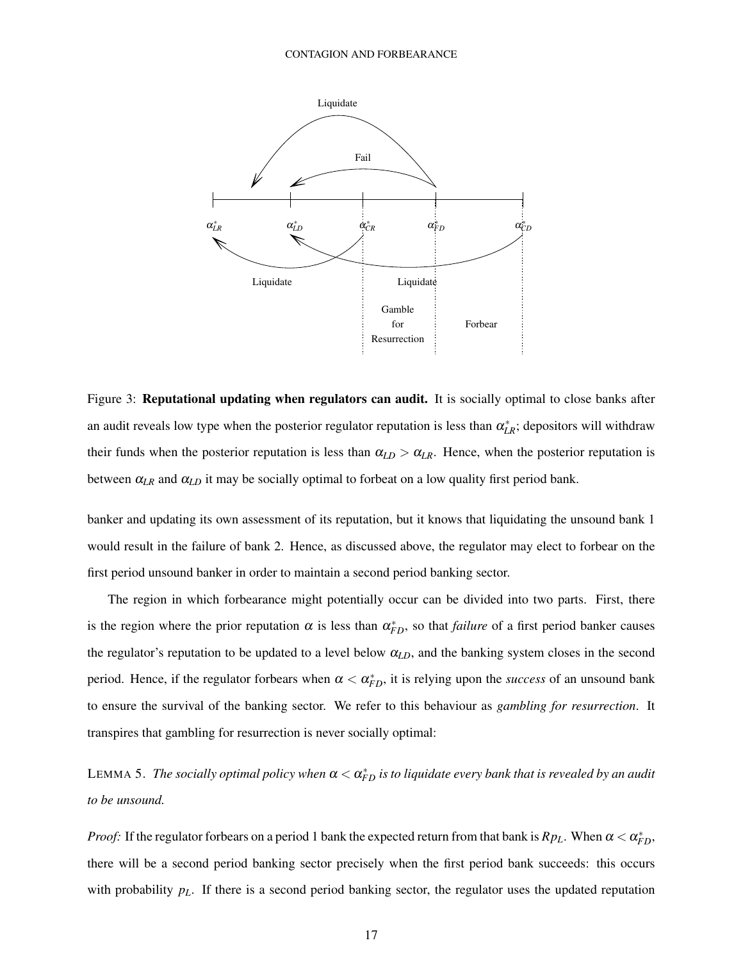

Figure 3: Reputational updating when regulators can audit. It is socially optimal to close banks after an audit reveals low type when the posterior regulator reputation is less than  $\alpha_{LR}^*$ ; depositors will withdraw their funds when the posterior reputation is less than  $\alpha_{LD} > \alpha_{LR}$ . Hence, when the posterior reputation is between  $\alpha_{LR}$  and  $\alpha_{LD}$  it may be socially optimal to forbeat on a low quality first period bank.

banker and updating its own assessment of its reputation, but it knows that liquidating the unsound bank 1 would result in the failure of bank 2. Hence, as discussed above, the regulator may elect to forbear on the first period unsound banker in order to maintain a second period banking sector.

The region in which forbearance might potentially occur can be divided into two parts. First, there is the region where the prior reputation  $\alpha$  is less than  $\alpha_{FD}^*$ , so that *failure* of a first period banker causes the regulator's reputation to be updated to a level below α*LD*, and the banking system closes in the second period. Hence, if the regulator forbears when  $\alpha < \alpha_{FD}^*$ , it is relying upon the *success* of an unsound bank to ensure the survival of the banking sector. We refer to this behaviour as *gambling for resurrection*. It transpires that gambling for resurrection is never socially optimal:

LEMMA 5. The socially optimal policy when  $\alpha < \alpha^*_{FD}$  is to liquidate every bank that is revealed by an audit *to be unsound.*

*Proof:* If the regulator forbears on a period 1 bank the expected return from that bank is  $Rp_L$ . When  $\alpha < \alpha_{FD}^*$ , there will be a second period banking sector precisely when the first period bank succeeds: this occurs with probability  $p<sub>L</sub>$ . If there is a second period banking sector, the regulator uses the updated reputation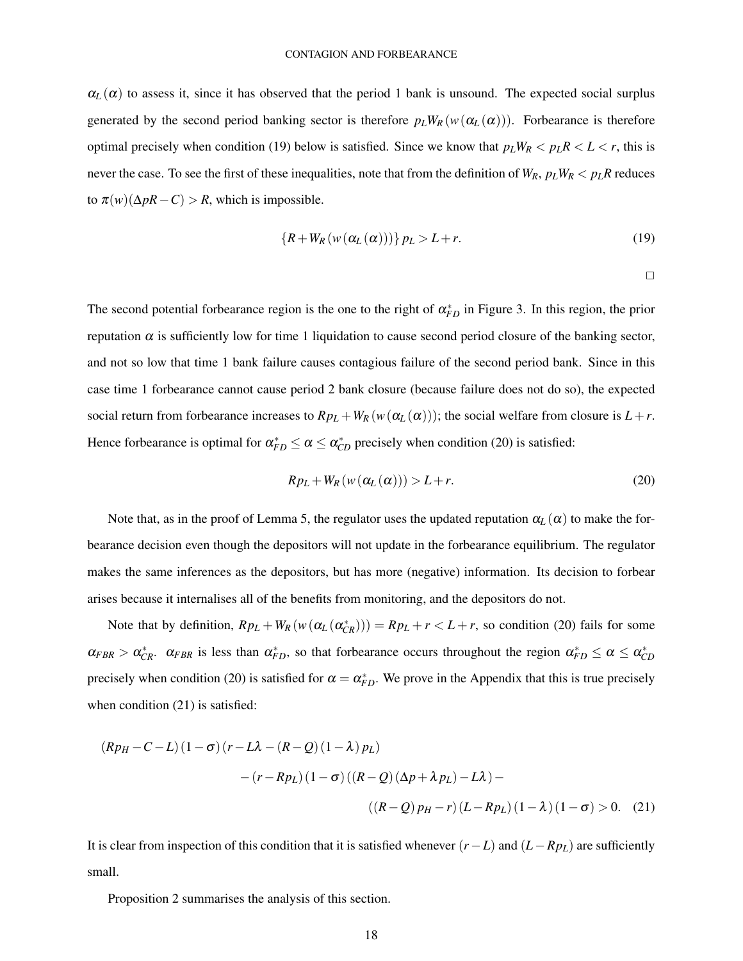$\alpha_L(\alpha)$  to assess it, since it has observed that the period 1 bank is unsound. The expected social surplus generated by the second period banking sector is therefore  $p_L W_R(w(\alpha_L(\alpha)))$ . Forbearance is therefore optimal precisely when condition (19) below is satisfied. Since we know that  $p_L W_R < p_L R < L < r$ , this is never the case. To see the first of these inequalities, note that from the definition of  $W_R$ ,  $p_L W_R < p_L R$  reduces to  $\pi(w)(\Delta pR - C) > R$ , which is impossible.

$$
\{R + W_R(w(\alpha_L(\alpha)))\} p_L > L + r.
$$
\n(19)

 $\Box$ 

The second potential forbearance region is the one to the right of  $\alpha_{FD}^*$  in Figure 3. In this region, the prior reputation α is sufficiently low for time 1 liquidation to cause second period closure of the banking sector, and not so low that time 1 bank failure causes contagious failure of the second period bank. Since in this case time 1 forbearance cannot cause period 2 bank closure (because failure does not do so), the expected social return from forbearance increases to  $Rp_L + W_R(w(\alpha_L(\alpha)))$ ; the social welfare from closure is  $L+r$ . Hence forbearance is optimal for  $\alpha_{FD}^* \leq \alpha \leq \alpha_{CD}^*$  precisely when condition (20) is satisfied:

$$
Rp_L + W_R(w(\alpha_L(\alpha))) > L + r.
$$
\n(20)

Note that, as in the proof of Lemma 5, the regulator uses the updated reputation  $\alpha_L(\alpha)$  to make the forbearance decision even though the depositors will not update in the forbearance equilibrium. The regulator makes the same inferences as the depositors, but has more (negative) information. Its decision to forbear arises because it internalises all of the benefits from monitoring, and the depositors do not.

Note that by definition,  $Rp_L + W_R(w(\alpha_L(\alpha_{CR}^*)) ) = Rp_L + r < L + r$ , so condition (20) fails for some  $\alpha_{FBR} > \alpha_{CR}^*$ .  $\alpha_{FBR}$  is less than  $\alpha_{FD}^*$ , so that forbearance occurs throughout the region  $\alpha_{FD}^* \le \alpha \le \alpha_{CD}^*$ precisely when condition (20) is satisfied for  $\alpha = \alpha_{FD}^*$ . We prove in the Appendix that this is true precisely when condition  $(21)$  is satisfied:

$$
(RpH - C - L)(1 - \sigma)(r - L\lambda - (R - Q)(1 - \lambda) pL)
$$
  
-(r - Rp<sub>L</sub>)(1 - \sigma)((R - Q)(Δp + λp<sub>L</sub>) - Lλ) –  
((R - Q)p<sub>H</sub> - r)(L - Rp<sub>L</sub>)(1 - λ)(1 - \sigma) > 0. (21)

It is clear from inspection of this condition that it is satisfied whenever  $(r - L)$  and  $(L - Rp_L)$  are sufficiently small.

Proposition 2 summarises the analysis of this section.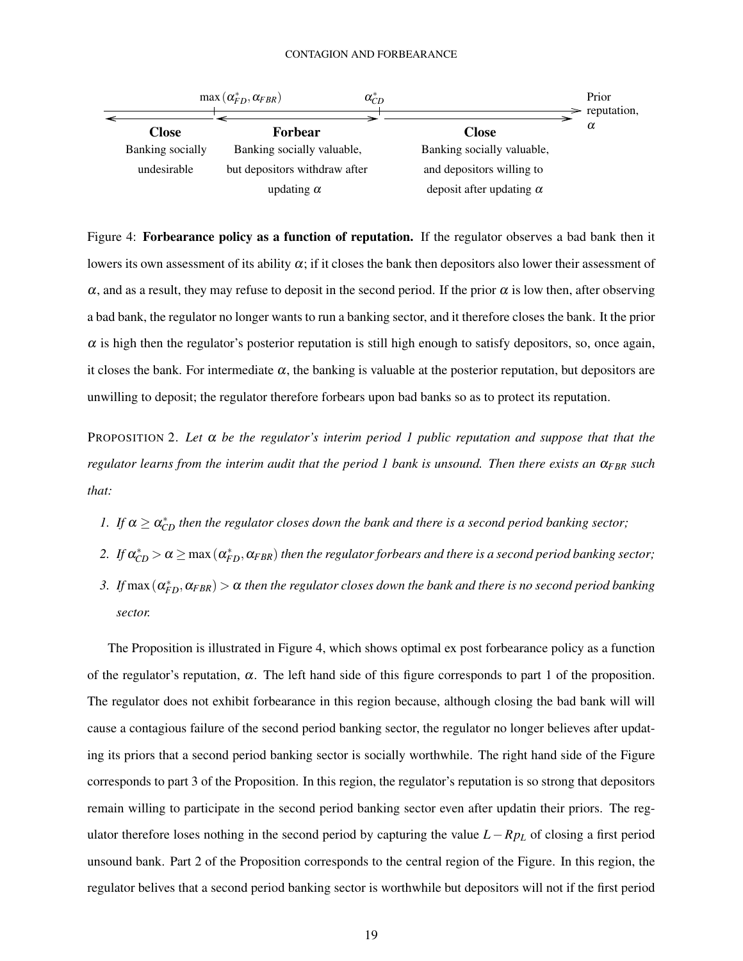

Figure 4: Forbearance policy as a function of reputation. If the regulator observes a bad bank then it lowers its own assessment of its ability  $\alpha$ ; if it closes the bank then depositors also lower their assessment of  $\alpha$ , and as a result, they may refuse to deposit in the second period. If the prior  $\alpha$  is low then, after observing a bad bank, the regulator no longer wants to run a banking sector, and it therefore closes the bank. It the prior  $\alpha$  is high then the regulator's posterior reputation is still high enough to satisfy depositors, so, once again, it closes the bank. For intermediate  $\alpha$ , the banking is valuable at the posterior reputation, but depositors are unwilling to deposit; the regulator therefore forbears upon bad banks so as to protect its reputation.

PROPOSITION 2. Let  $\alpha$  be the regulator's interim period 1 public reputation and suppose that that the *regulator learns from the interim audit that the period 1 bank is unsound. Then there exists an* α*FBR such that:*

- *1.* If  $\alpha \geq \alpha_{CD}^*$  *then the regulator closes down the bank and there is a second period banking sector;*
- 2. If  $\alpha_{CD}^* > \alpha \ge \max{(\alpha_{FD}^*,\alpha_{FBR})}$  *then the regulator forbears and there is a second period banking sector;*
- *3.* If  $max(\alpha_{FD}^*, \alpha_{FBR}) > \alpha$  then the regulator closes down the bank and there is no second period banking *sector.*

The Proposition is illustrated in Figure 4, which shows optimal ex post forbearance policy as a function of the regulator's reputation,  $\alpha$ . The left hand side of this figure corresponds to part 1 of the proposition. The regulator does not exhibit forbearance in this region because, although closing the bad bank will will cause a contagious failure of the second period banking sector, the regulator no longer believes after updating its priors that a second period banking sector is socially worthwhile. The right hand side of the Figure corresponds to part 3 of the Proposition. In this region, the regulator's reputation is so strong that depositors remain willing to participate in the second period banking sector even after updatin their priors. The regulator therefore loses nothing in the second period by capturing the value *L* −*Rp<sup>L</sup>* of closing a first period unsound bank. Part 2 of the Proposition corresponds to the central region of the Figure. In this region, the regulator belives that a second period banking sector is worthwhile but depositors will not if the first period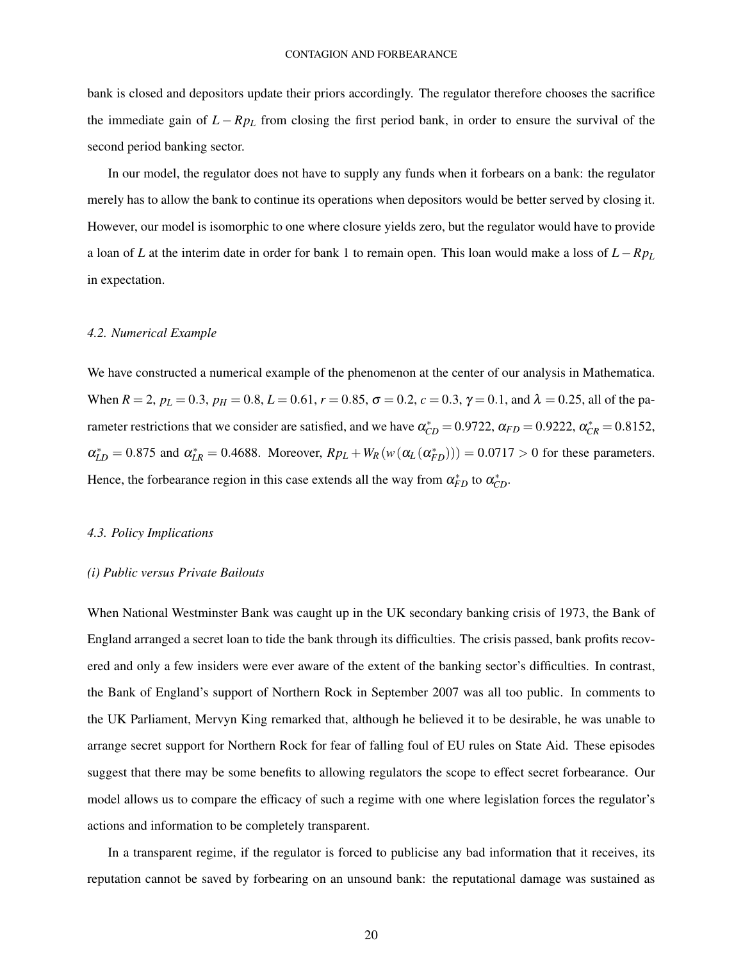bank is closed and depositors update their priors accordingly. The regulator therefore chooses the sacrifice the immediate gain of  $L - Rp<sub>L</sub>$  from closing the first period bank, in order to ensure the survival of the second period banking sector.

In our model, the regulator does not have to supply any funds when it forbears on a bank: the regulator merely has to allow the bank to continue its operations when depositors would be better served by closing it. However, our model is isomorphic to one where closure yields zero, but the regulator would have to provide a loan of *L* at the interim date in order for bank 1 to remain open. This loan would make a loss of *L*−*Rp<sup>L</sup>* in expectation.

## *4.2. Numerical Example*

We have constructed a numerical example of the phenomenon at the center of our analysis in Mathematica. When  $R = 2$ ,  $p_L = 0.3$ ,  $p_H = 0.8$ ,  $L = 0.61$ ,  $r = 0.85$ ,  $\sigma = 0.2$ ,  $c = 0.3$ ,  $\gamma = 0.1$ , and  $\lambda = 0.25$ , all of the parameter restrictions that we consider are satisfied, and we have  $\alpha_{CD}^* = 0.9722$ ,  $\alpha_{FD} = 0.9222$ ,  $\alpha_{CR}^* = 0.8152$ ,  $\alpha_{LD}^{*} = 0.875$  and  $\alpha_{LR}^{*} = 0.4688$ . Moreover,  $R p_L + W_R(w(\alpha_L(\alpha_{FD}^{*}))) = 0.0717 > 0$  for these parameters. Hence, the forbearance region in this case extends all the way from  $\alpha_{FD}^*$  to  $\alpha_{CD}^*$ .

#### *4.3. Policy Implications*

## *(i) Public versus Private Bailouts*

When National Westminster Bank was caught up in the UK secondary banking crisis of 1973, the Bank of England arranged a secret loan to tide the bank through its difficulties. The crisis passed, bank profits recovered and only a few insiders were ever aware of the extent of the banking sector's difficulties. In contrast, the Bank of England's support of Northern Rock in September 2007 was all too public. In comments to the UK Parliament, Mervyn King remarked that, although he believed it to be desirable, he was unable to arrange secret support for Northern Rock for fear of falling foul of EU rules on State Aid. These episodes suggest that there may be some benefits to allowing regulators the scope to effect secret forbearance. Our model allows us to compare the efficacy of such a regime with one where legislation forces the regulator's actions and information to be completely transparent.

In a transparent regime, if the regulator is forced to publicise any bad information that it receives, its reputation cannot be saved by forbearing on an unsound bank: the reputational damage was sustained as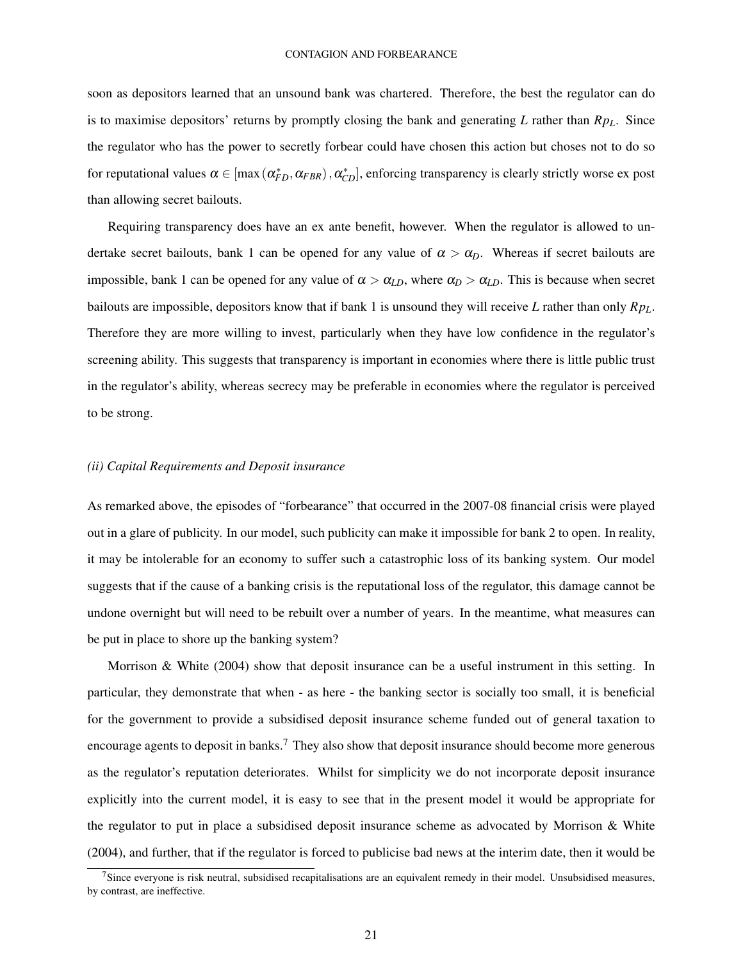soon as depositors learned that an unsound bank was chartered. Therefore, the best the regulator can do is to maximise depositors' returns by promptly closing the bank and generating *L* rather than *RpL*. Since the regulator who has the power to secretly forbear could have chosen this action but choses not to do so for reputational values  $\alpha \in [\max(\alpha_{FD}^*, \alpha_{FBR})$ ,  $\alpha_{CD}^*]$ , enforcing transparency is clearly strictly worse ex post than allowing secret bailouts.

Requiring transparency does have an ex ante benefit, however. When the regulator is allowed to undertake secret bailouts, bank 1 can be opened for any value of  $\alpha > \alpha_D$ . Whereas if secret bailouts are impossible, bank 1 can be opened for any value of  $\alpha > \alpha_{LD}$ , where  $\alpha_D > \alpha_{LD}$ . This is because when secret bailouts are impossible, depositors know that if bank 1 is unsound they will receive *L* rather than only *RpL*. Therefore they are more willing to invest, particularly when they have low confidence in the regulator's screening ability. This suggests that transparency is important in economies where there is little public trust in the regulator's ability, whereas secrecy may be preferable in economies where the regulator is perceived to be strong.

## *(ii) Capital Requirements and Deposit insurance*

As remarked above, the episodes of "forbearance" that occurred in the 2007-08 financial crisis were played out in a glare of publicity. In our model, such publicity can make it impossible for bank 2 to open. In reality, it may be intolerable for an economy to suffer such a catastrophic loss of its banking system. Our model suggests that if the cause of a banking crisis is the reputational loss of the regulator, this damage cannot be undone overnight but will need to be rebuilt over a number of years. In the meantime, what measures can be put in place to shore up the banking system?

Morrison & White (2004) show that deposit insurance can be a useful instrument in this setting. In particular, they demonstrate that when - as here - the banking sector is socially too small, it is beneficial for the government to provide a subsidised deposit insurance scheme funded out of general taxation to encourage agents to deposit in banks.<sup>7</sup> They also show that deposit insurance should become more generous as the regulator's reputation deteriorates. Whilst for simplicity we do not incorporate deposit insurance explicitly into the current model, it is easy to see that in the present model it would be appropriate for the regulator to put in place a subsidised deposit insurance scheme as advocated by Morrison & White (2004), and further, that if the regulator is forced to publicise bad news at the interim date, then it would be

 $7$ Since everyone is risk neutral, subsidised recapitalisations are an equivalent remedy in their model. Unsubsidised measures, by contrast, are ineffective.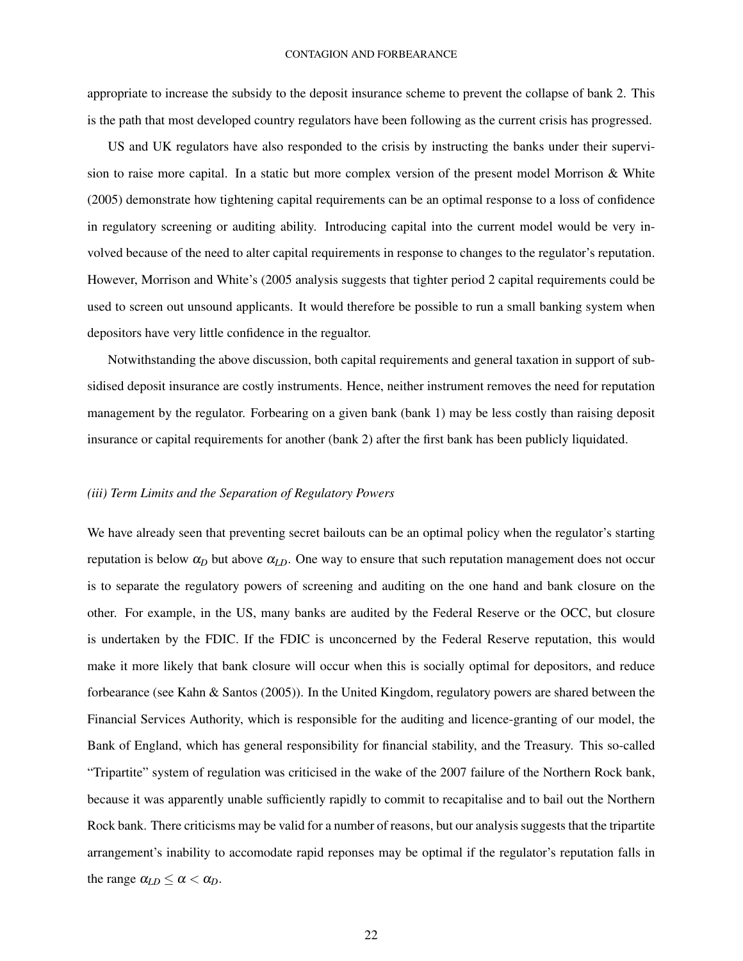appropriate to increase the subsidy to the deposit insurance scheme to prevent the collapse of bank 2. This is the path that most developed country regulators have been following as the current crisis has progressed.

US and UK regulators have also responded to the crisis by instructing the banks under their supervision to raise more capital. In a static but more complex version of the present model Morrison & White (2005) demonstrate how tightening capital requirements can be an optimal response to a loss of confidence in regulatory screening or auditing ability. Introducing capital into the current model would be very involved because of the need to alter capital requirements in response to changes to the regulator's reputation. However, Morrison and White's (2005 analysis suggests that tighter period 2 capital requirements could be used to screen out unsound applicants. It would therefore be possible to run a small banking system when depositors have very little confidence in the regualtor.

Notwithstanding the above discussion, both capital requirements and general taxation in support of subsidised deposit insurance are costly instruments. Hence, neither instrument removes the need for reputation management by the regulator. Forbearing on a given bank (bank 1) may be less costly than raising deposit insurance or capital requirements for another (bank 2) after the first bank has been publicly liquidated.

## *(iii) Term Limits and the Separation of Regulatory Powers*

We have already seen that preventing secret bailouts can be an optimal policy when the regulator's starting reputation is below  $\alpha_D$  but above  $\alpha_{LD}$ . One way to ensure that such reputation management does not occur is to separate the regulatory powers of screening and auditing on the one hand and bank closure on the other. For example, in the US, many banks are audited by the Federal Reserve or the OCC, but closure is undertaken by the FDIC. If the FDIC is unconcerned by the Federal Reserve reputation, this would make it more likely that bank closure will occur when this is socially optimal for depositors, and reduce forbearance (see Kahn & Santos (2005)). In the United Kingdom, regulatory powers are shared between the Financial Services Authority, which is responsible for the auditing and licence-granting of our model, the Bank of England, which has general responsibility for financial stability, and the Treasury. This so-called "Tripartite" system of regulation was criticised in the wake of the 2007 failure of the Northern Rock bank, because it was apparently unable sufficiently rapidly to commit to recapitalise and to bail out the Northern Rock bank. There criticisms may be valid for a number of reasons, but our analysis suggests that the tripartite arrangement's inability to accomodate rapid reponses may be optimal if the regulator's reputation falls in the range  $\alpha_{LD} \leq \alpha < \alpha_D$ .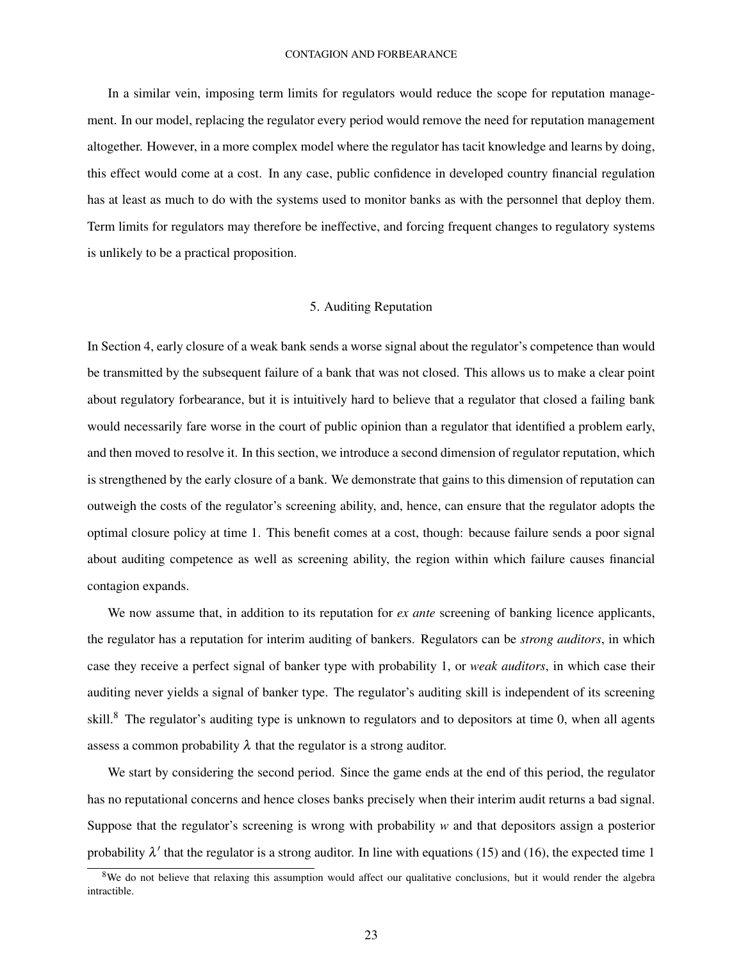In a similar vein, imposing term limits for regulators would reduce the scope for reputation management. In our model, replacing the regulator every period would remove the need for reputation management altogether. However, in a more complex model where the regulator has tacit knowledge and learns by doing, this effect would come at a cost. In any case, public confidence in developed country financial regulation has at least as much to do with the systems used to monitor banks as with the personnel that deploy them. Term limits for regulators may therefore be ineffective, and forcing frequent changes to regulatory systems is unlikely to be a practical proposition.

## 5. Auditing Reputation

In Section 4, early closure of a weak bank sends a worse signal about the regulator's competence than would be transmitted by the subsequent failure of a bank that was not closed. This allows us to make a clear point about regulatory forbearance, but it is intuitively hard to believe that a regulator that closed a failing bank would necessarily fare worse in the court of public opinion than a regulator that identified a problem early, and then moved to resolve it. In this section, we introduce a second dimension of regulator reputation, which is strengthened by the early closure of a bank. We demonstrate that gains to this dimension of reputation can outweigh the costs of the regulator's screening ability, and, hence, can ensure that the regulator adopts the optimal closure policy at time 1. This benefit comes at a cost, though: because failure sends a poor signal about auditing competence as well as screening ability, the region within which failure causes financial contagion expands.

We now assume that, in addition to its reputation for *ex ante* screening of banking licence applicants, the regulator has a reputation for interim auditing of bankers. Regulators can be *strong auditors*, in which case they receive a perfect signal of banker type with probability 1, or *weak auditors*, in which case their auditing never yields a signal of banker type. The regulator's auditing skill is independent of its screening skill.<sup>8</sup> The regulator's auditing type is unknown to regulators and to depositors at time 0, when all agents assess a common probability  $\lambda$  that the regulator is a strong auditor.

We start by considering the second period. Since the game ends at the end of this period, the regulator has no reputational concerns and hence closes banks precisely when their interim audit returns a bad signal. Suppose that the regulator's screening is wrong with probability *w* and that depositors assign a posterior probability  $\lambda'$  that the regulator is a strong auditor. In line with equations (15) and (16), the expected time 1

<sup>&</sup>lt;sup>8</sup>We do not believe that relaxing this assumption would affect our qualitative conclusions, but it would render the algebra intractible.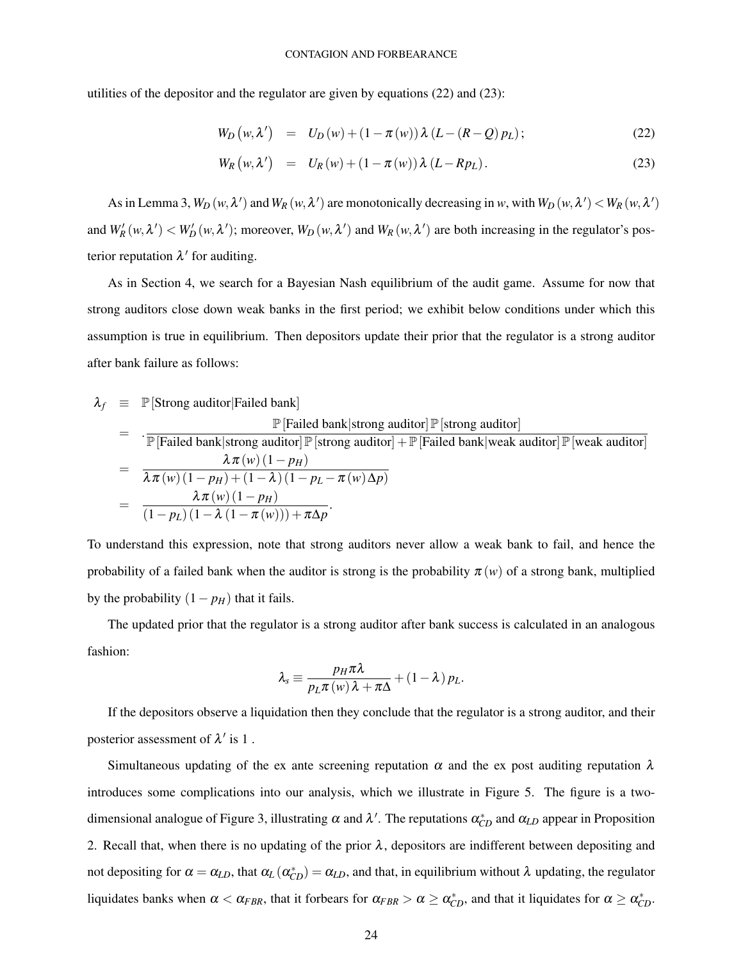utilities of the depositor and the regulator are given by equations (22) and (23):

$$
W_D(w, \lambda') = U_D(w) + (1 - \pi(w)) \lambda (L - (R - Q) p_L); \qquad (22)
$$

$$
W_R(w, \lambda') = U_R(w) + (1 - \pi(w)) \lambda (L - R p_L). \qquad (23)
$$

As in Lemma 3,  $W_D(w, \lambda')$  and  $W_R(w, \lambda')$  are monotonically decreasing in *w*, with  $W_D(w, \lambda') < W_R(w, \lambda')$ and  $W'_R(w, \lambda') < W'_D(w, \lambda')$ ; moreover,  $W_D(w, \lambda')$  and  $W_R(w, \lambda')$  are both increasing in the regulator's posterior reputation  $\lambda'$  for auditing.

As in Section 4, we search for a Bayesian Nash equilibrium of the audit game. Assume for now that strong auditors close down weak banks in the first period; we exhibit below conditions under which this assumption is true in equilibrium. Then depositors update their prior that the regulator is a strong auditor after bank failure as follows:

$$
\lambda_f \equiv \mathbb{P}[\text{Strong auditory}|\text{Failed bank}] \n= \frac{\mathbb{P}[\text{Failed bank}| \text{strong auditory}|\mathbb{P}[\text{strong auditory}]}{\mathbb{P}[\text{Failed bank}| \text{strong auditory}| + \mathbb{P}[\text{Failed bank}| \text{weak auditory}]\mathbb{P}[\text{weak auditory}]} \n= \frac{\lambda \pi(w) (1 - p_H)}{\lambda \pi(w) (1 - p_H) + (1 - \lambda) (1 - p_L - \pi(w) \Delta p)} \n= \frac{\lambda \pi(w) (1 - p_H)}{(1 - p_L) (1 - \lambda (1 - \pi(w))) + \pi \Delta p}.
$$

To understand this expression, note that strong auditors never allow a weak bank to fail, and hence the probability of a failed bank when the auditor is strong is the probability  $\pi(w)$  of a strong bank, multiplied by the probability  $(1 - p_H)$  that it fails.

The updated prior that the regulator is a strong auditor after bank success is calculated in an analogous fashion:

$$
\lambda_{s} \equiv \frac{p_{H} \pi \lambda}{p_{L} \pi \left(w\right) \lambda + \pi \Delta} + \left(1 - \lambda\right) p_{L}.
$$

If the depositors observe a liquidation then they conclude that the regulator is a strong auditor, and their posterior assessment of  $\lambda'$  is 1.

Simultaneous updating of the ex ante screening reputation  $\alpha$  and the ex post auditing reputation  $\lambda$ introduces some complications into our analysis, which we illustrate in Figure 5. The figure is a twodimensional analogue of Figure 3, illustrating  $\alpha$  and  $\lambda'$ . The reputations  $\alpha_{CD}^*$  and  $\alpha_{LD}$  appear in Proposition 2. Recall that, when there is no updating of the prior  $\lambda$ , depositors are indifferent between depositing and not depositing for  $\alpha = \alpha_{LD}$ , that  $\alpha_L(\alpha_{CD}^*) = \alpha_{LD}$ , and that, in equilibrium without  $\lambda$  updating, the regulator liquidates banks when  $\alpha < \alpha_{FBR}$ , that it forbears for  $\alpha_{FBR} > \alpha \geq \alpha_{CD}^*$ , and that it liquidates for  $\alpha \geq \alpha_{CD}^*$ .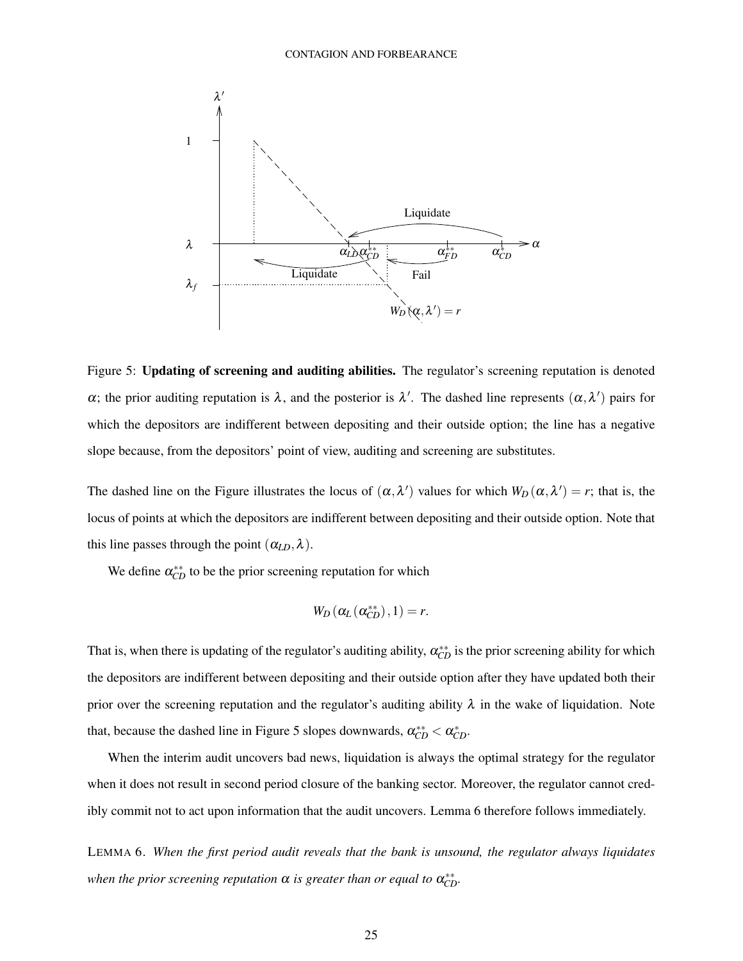

Figure 5: Updating of screening and auditing abilities. The regulator's screening reputation is denoted  $\alpha$ ; the prior auditing reputation is  $\lambda$ , and the posterior is  $\lambda'$ . The dashed line represents  $(\alpha, \lambda')$  pairs for which the depositors are indifferent between depositing and their outside option; the line has a negative slope because, from the depositors' point of view, auditing and screening are substitutes.

The dashed line on the Figure illustrates the locus of  $(\alpha, \lambda')$  values for which  $W_D(\alpha, \lambda') = r$ ; that is, the locus of points at which the depositors are indifferent between depositing and their outside option. Note that this line passes through the point  $(\alpha_{LD}, \lambda)$ .

We define  $\alpha_{CD}^{**}$  to be the prior screening reputation for which

$$
W_D\left(\alpha_L\left(\alpha_{CD}^{**}\right),1\right)=r.
$$

That is, when there is updating of the regulator's auditing ability,  $\alpha_{CD}^{**}$  is the prior screening ability for which the depositors are indifferent between depositing and their outside option after they have updated both their prior over the screening reputation and the regulator's auditing ability  $\lambda$  in the wake of liquidation. Note that, because the dashed line in Figure 5 slopes downwards,  $\alpha_{CD}^{**} < \alpha_{CD}^*$ .

When the interim audit uncovers bad news, liquidation is always the optimal strategy for the regulator when it does not result in second period closure of the banking sector. Moreover, the regulator cannot credibly commit not to act upon information that the audit uncovers. Lemma 6 therefore follows immediately.

LEMMA 6. *When the first period audit reveals that the bank is unsound, the regulator always liquidates* when the prior screening reputation  $\alpha$  is greater than or equal to  $\alpha_{CD}^{**}$ .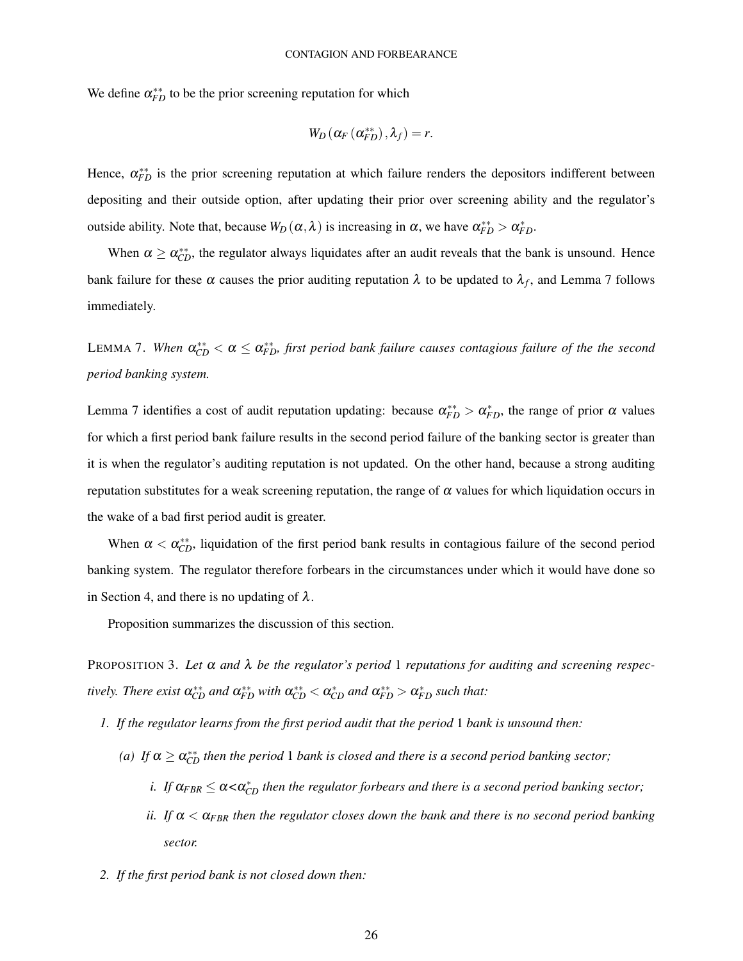We define  $\alpha_{FD}^{**}$  to be the prior screening reputation for which

$$
W_D\left(\alpha_F\left(\alpha_{FD}^{**}\right),\lambda_f\right)=r.
$$

Hence,  $\alpha_{FD}^{**}$  is the prior screening reputation at which failure renders the depositors indifferent between depositing and their outside option, after updating their prior over screening ability and the regulator's outside ability. Note that, because  $W_D(\alpha, \lambda)$  is increasing in α, we have  $\alpha_{FD}^{**} > \alpha_{FD}^*$ .

When  $\alpha \ge \alpha_{CD}^{**}$ , the regulator always liquidates after an audit reveals that the bank is unsound. Hence bank failure for these  $\alpha$  causes the prior auditing reputation  $\lambda$  to be updated to  $\lambda_f$ , and Lemma 7 follows immediately.

LEMMA 7. When  $\alpha_{CD}^{**}<\alpha\leq\alpha_{FD}^{**}$ , first period bank failure causes contagious failure of the the second *period banking system.*

Lemma 7 identifies a cost of audit reputation updating: because  $\alpha_{FD}^{**} > \alpha_{FD}^*$ , the range of prior  $\alpha$  values for which a first period bank failure results in the second period failure of the banking sector is greater than it is when the regulator's auditing reputation is not updated. On the other hand, because a strong auditing reputation substitutes for a weak screening reputation, the range of  $\alpha$  values for which liquidation occurs in the wake of a bad first period audit is greater.

When  $\alpha < \alpha_{CD}^{**}$ , liquidation of the first period bank results in contagious failure of the second period banking system. The regulator therefore forbears in the circumstances under which it would have done so in Section 4, and there is no updating of  $\lambda$ .

Proposition summarizes the discussion of this section.

PROPOSITION 3. *Let* α *and* λ *be the regulator's period* 1 *reputations for auditing and screening respectively. There exist*  $\alpha_{CD}^{**}$  *and*  $\alpha_{FD}^{**}$  *with*  $\alpha_{CD}^{**} < \alpha_{CD}^{*}$  *and*  $\alpha_{FD}^{**} > \alpha_{FD}^{*}$  *such that:* 

- *1. If the regulator learns from the first period audit that the period* 1 *bank is unsound then:*
	- (a) If  $\alpha \geq \alpha_{CD}^{**}$  *then the period* 1 *bank is closed and there is a second period banking sector*;
		- *i.* If  $\alpha_{FBR} \leq \alpha < \alpha_{CD}^*$  then the regulator forbears and there is a second period banking sector;
		- *ii.* If  $\alpha < \alpha_{FBR}$  then the regulator closes down the bank and there is no second period banking *sector.*
- *2. If the first period bank is not closed down then:*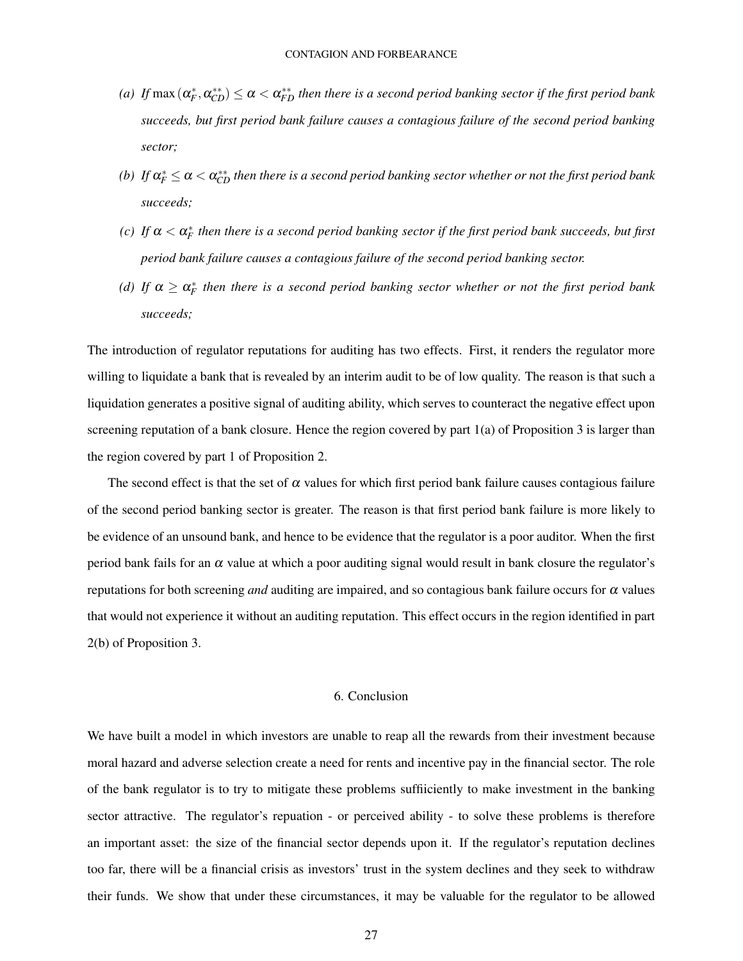- *(a)* If  $\max{(\alpha_F^*,\alpha_{CD}^{**})} \leq \alpha < \alpha_{FD}^{**}$  then there is a second period banking sector if the first period bank *succeeds, but first period bank failure causes a contagious failure of the second period banking sector;*
- *(b)* If  $\alpha_F^* \le \alpha < \alpha_{CD}^{**}$  then there is a second period banking sector whether or not the first period bank *succeeds;*
- *(c)* If  $\alpha < \alpha_F^*$  then there is a second period banking sector if the first period bank succeeds, but first *period bank failure causes a contagious failure of the second period banking sector.*
- (d) If  $\alpha \geq \alpha_F^*$  then there is a second period banking sector whether or not the first period bank *succeeds;*

The introduction of regulator reputations for auditing has two effects. First, it renders the regulator more willing to liquidate a bank that is revealed by an interim audit to be of low quality. The reason is that such a liquidation generates a positive signal of auditing ability, which serves to counteract the negative effect upon screening reputation of a bank closure. Hence the region covered by part 1(a) of Proposition 3 is larger than the region covered by part 1 of Proposition 2.

The second effect is that the set of  $\alpha$  values for which first period bank failure causes contagious failure of the second period banking sector is greater. The reason is that first period bank failure is more likely to be evidence of an unsound bank, and hence to be evidence that the regulator is a poor auditor. When the first period bank fails for an  $\alpha$  value at which a poor auditing signal would result in bank closure the regulator's reputations for both screening *and* auditing are impaired, and so contagious bank failure occurs for α values that would not experience it without an auditing reputation. This effect occurs in the region identified in part 2(b) of Proposition 3.

## 6. Conclusion

We have built a model in which investors are unable to reap all the rewards from their investment because moral hazard and adverse selection create a need for rents and incentive pay in the financial sector. The role of the bank regulator is to try to mitigate these problems suffiiciently to make investment in the banking sector attractive. The regulator's repuation - or perceived ability - to solve these problems is therefore an important asset: the size of the financial sector depends upon it. If the regulator's reputation declines too far, there will be a financial crisis as investors' trust in the system declines and they seek to withdraw their funds. We show that under these circumstances, it may be valuable for the regulator to be allowed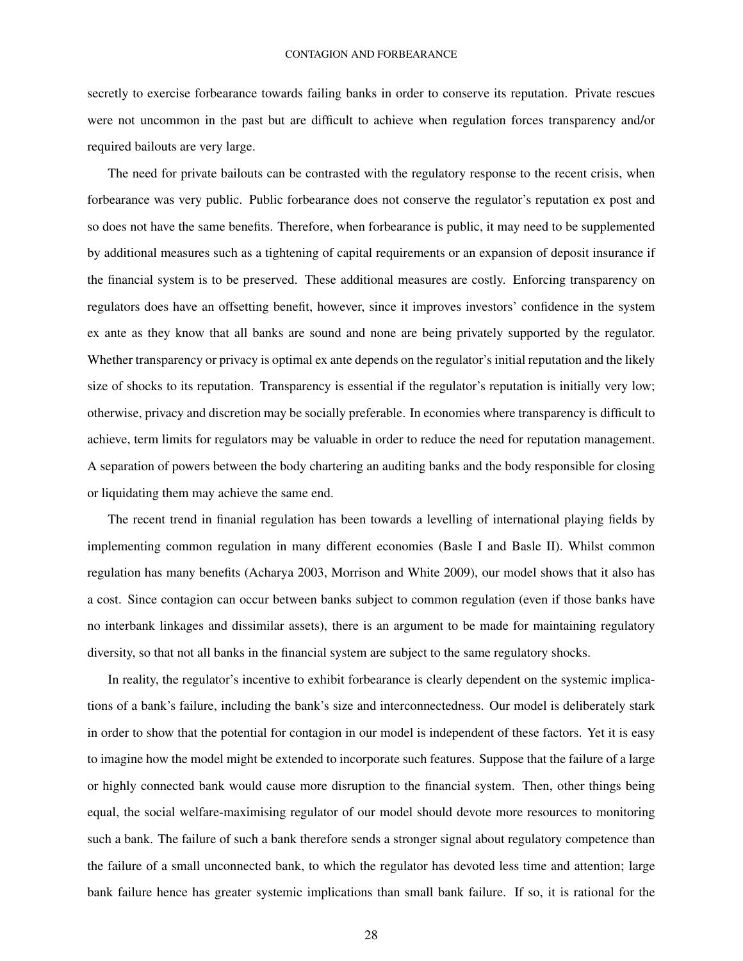secretly to exercise forbearance towards failing banks in order to conserve its reputation. Private rescues were not uncommon in the past but are difficult to achieve when regulation forces transparency and/or required bailouts are very large.

The need for private bailouts can be contrasted with the regulatory response to the recent crisis, when forbearance was very public. Public forbearance does not conserve the regulator's reputation ex post and so does not have the same benefits. Therefore, when forbearance is public, it may need to be supplemented by additional measures such as a tightening of capital requirements or an expansion of deposit insurance if the financial system is to be preserved. These additional measures are costly. Enforcing transparency on regulators does have an offsetting benefit, however, since it improves investors' confidence in the system ex ante as they know that all banks are sound and none are being privately supported by the regulator. Whether transparency or privacy is optimal ex ante depends on the regulator's initial reputation and the likely size of shocks to its reputation. Transparency is essential if the regulator's reputation is initially very low; otherwise, privacy and discretion may be socially preferable. In economies where transparency is difficult to achieve, term limits for regulators may be valuable in order to reduce the need for reputation management. A separation of powers between the body chartering an auditing banks and the body responsible for closing or liquidating them may achieve the same end.

The recent trend in finanial regulation has been towards a levelling of international playing fields by implementing common regulation in many different economies (Basle I and Basle II). Whilst common regulation has many benefits (Acharya 2003, Morrison and White 2009), our model shows that it also has a cost. Since contagion can occur between banks subject to common regulation (even if those banks have no interbank linkages and dissimilar assets), there is an argument to be made for maintaining regulatory diversity, so that not all banks in the financial system are subject to the same regulatory shocks.

In reality, the regulator's incentive to exhibit forbearance is clearly dependent on the systemic implications of a bank's failure, including the bank's size and interconnectedness. Our model is deliberately stark in order to show that the potential for contagion in our model is independent of these factors. Yet it is easy to imagine how the model might be extended to incorporate such features. Suppose that the failure of a large or highly connected bank would cause more disruption to the financial system. Then, other things being equal, the social welfare-maximising regulator of our model should devote more resources to monitoring such a bank. The failure of such a bank therefore sends a stronger signal about regulatory competence than the failure of a small unconnected bank, to which the regulator has devoted less time and attention; large bank failure hence has greater systemic implications than small bank failure. If so, it is rational for the

28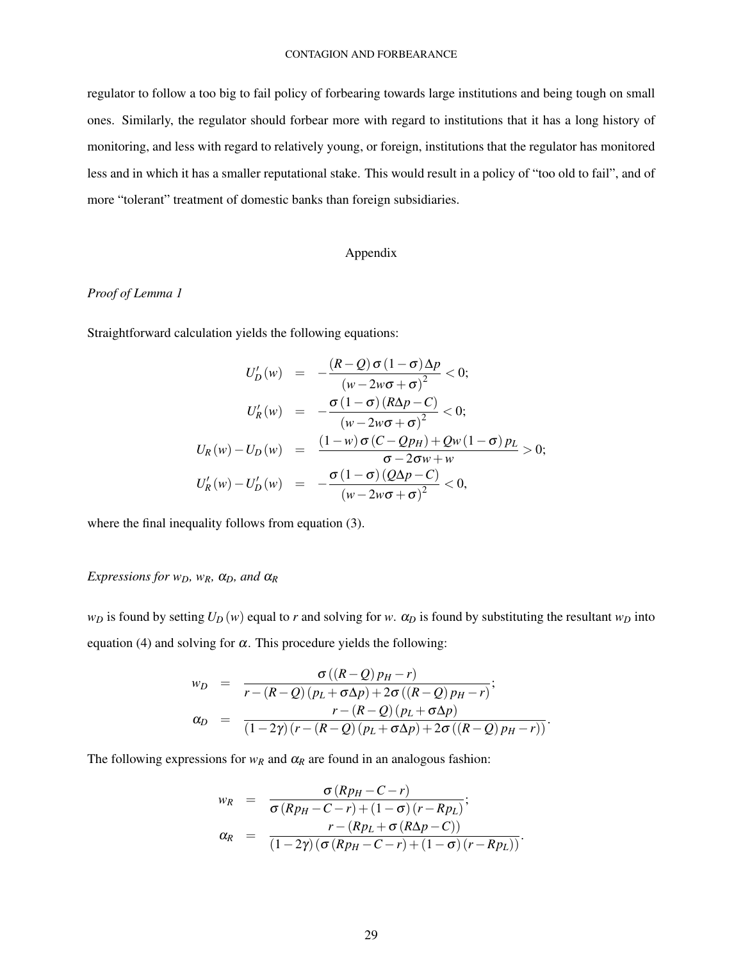regulator to follow a too big to fail policy of forbearing towards large institutions and being tough on small ones. Similarly, the regulator should forbear more with regard to institutions that it has a long history of monitoring, and less with regard to relatively young, or foreign, institutions that the regulator has monitored less and in which it has a smaller reputational stake. This would result in a policy of "too old to fail", and of more "tolerant" treatment of domestic banks than foreign subsidiaries.

## Appendix

## *Proof of Lemma 1*

Straightforward calculation yields the following equations:

$$
U'_{D}(w) = -\frac{(R-Q)\sigma(1-\sigma)\Delta p}{(w-2w\sigma+\sigma)^{2}} < 0;
$$
  

$$
U'_{R}(w) = -\frac{\sigma(1-\sigma)(R\Delta p-C)}{(w-2w\sigma+\sigma)^{2}} < 0;
$$
  

$$
U_{R}(w) - U_{D}(w) = \frac{(1-w)\sigma(C-Qp_{H}) + Qw(1-\sigma)p_{L}}{\sigma-2\sigma w + w} > 0;
$$
  

$$
U'_{R}(w) - U'_{D}(w) = -\frac{\sigma(1-\sigma)(Q\Delta p-C)}{(w-2w\sigma+\sigma)^{2}} < 0,
$$

where the final inequality follows from equation (3).

## *Expressions for w<sub>D</sub>, w<sub>R</sub>,*  $\alpha$ *<sub>D</sub>, and*  $\alpha$ *<sub>R</sub>*

*w*<sub>D</sub> is found by setting  $U_D(w)$  equal to *r* and solving for *w*.  $\alpha_D$  is found by substituting the resultant  $w_D$  into equation (4) and solving for  $\alpha$ . This procedure yields the following:

$$
w_D = \frac{\sigma((R-Q) p_H - r)}{r - (R-Q) (p_L + \sigma \Delta p) + 2\sigma ((R-Q) p_H - r)};
$$
  
\n
$$
\alpha_D = \frac{r - (R-Q) (p_L + \sigma \Delta p)}{(1 - 2\gamma) (r - (R-Q) (p_L + \sigma \Delta p) + 2\sigma ((R-Q) p_H - r))}.
$$

The following expressions for  $w_R$  and  $\alpha_R$  are found in an analogous fashion:

$$
w_R = \frac{\sigma (Rp_H - C - r)}{\sigma (Rp_H - C - r) + (1 - \sigma) (r - Rp_L)};
$$
  
\n
$$
\alpha_R = \frac{r - (Rp_L + \sigma (R\Delta p - C))}{(1 - 2\gamma) (\sigma (Rp_H - C - r) + (1 - \sigma) (r - Rp_L))}.
$$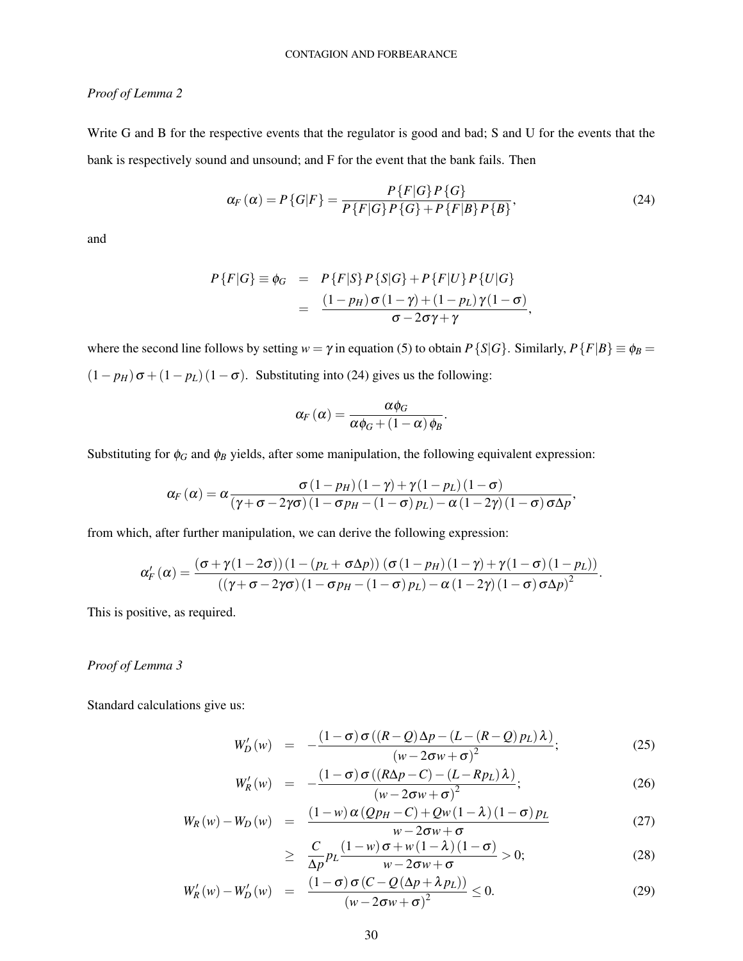## *Proof of Lemma 2*

Write G and B for the respective events that the regulator is good and bad; S and U for the events that the bank is respectively sound and unsound; and F for the event that the bank fails. Then

$$
\alpha_F(\alpha) = P\{G|F\} = \frac{P\{F|G\}P\{G\}}{P\{F|G\}P\{G\} + P\{F|B\}P\{B\}},\tag{24}
$$

.

and

$$
P\{F|G\} \equiv \phi_G = P\{F|S\} P\{S|G\} + P\{F|U\} P\{U|G\}
$$
  
= 
$$
\frac{(1-p_H)\sigma(1-\gamma) + (1-p_L)\gamma(1-\sigma)}{\sigma - 2\sigma\gamma + \gamma},
$$

where the second line follows by setting  $w = \gamma$  in equation (5) to obtain  $P\{S|G\}$ . Similarly,  $P\{F|B\} \equiv \phi_B =$  $(1 - p_H) \sigma + (1 - p_L) (1 - \sigma)$ . Substituting into (24) gives us the following:

$$
\alpha_F\left(\alpha\right)=\frac{\alpha\phi_G}{\alpha\phi_G+\left(1-\alpha\right)\phi_B}
$$

Substituting for  $\phi_G$  and  $\phi_B$  yields, after some manipulation, the following equivalent expression:

$$
\alpha_F(\alpha) = \alpha \frac{\sigma (1 - p_H)(1 - \gamma) + \gamma (1 - p_L)(1 - \sigma)}{(\gamma + \sigma - 2\gamma\sigma)(1 - \sigma p_H - (1 - \sigma) p_L) - \alpha (1 - 2\gamma)(1 - \sigma) \sigma \Delta p},
$$

from which, after further manipulation, we can derive the following expression:

$$
\alpha'_{F}(\alpha) = \frac{(\sigma + \gamma(1 - 2\sigma))(1 - (p_{L} + \sigma \Delta p))(\sigma(1 - p_{H})(1 - \gamma) + \gamma(1 - \sigma)(1 - p_{L}))}{((\gamma + \sigma - 2\gamma\sigma)(1 - \sigma p_{H} - (1 - \sigma) p_{L}) - \alpha(1 - 2\gamma)(1 - \sigma)\sigma\Delta p)^{2}}.
$$

This is positive, as required.

## *Proof of Lemma 3*

Standard calculations give us:

$$
W'_{D}(w) = -\frac{(1-\sigma)\,\sigma\left((R-Q)\,\Delta p - (L-(R-Q)\,p_L)\,\lambda\right)}{\left(w - 2\,\sigma w + \sigma\right)^2};\tag{25}
$$

$$
W'_{R}(w) = -\frac{(1-\sigma)\sigma((R\Delta p - C) - (L - Rp_{L})\lambda)}{(w - 2\sigma w + \sigma)^{2}};
$$
\n(26)

$$
W_R(w) - W_D(w) = \frac{(1 - w) \alpha (Q_{PH} - C) + Q_W(1 - \lambda) (1 - \sigma) p_L}{w - 2\sigma w + \sigma}
$$
(27)

$$
\geq \frac{C}{\Delta p} p_L \frac{(1-w)\sigma + w(1-\lambda)(1-\sigma)}{w - 2\sigma w + \sigma} > 0; \tag{28}
$$

$$
W'_{R}(w) - W'_{D}(w) = \frac{(1 - \sigma) \sigma (C - Q(\Delta p + \lambda p_{L}))}{(w - 2\sigma w + \sigma)^{2}} \leq 0.
$$
 (29)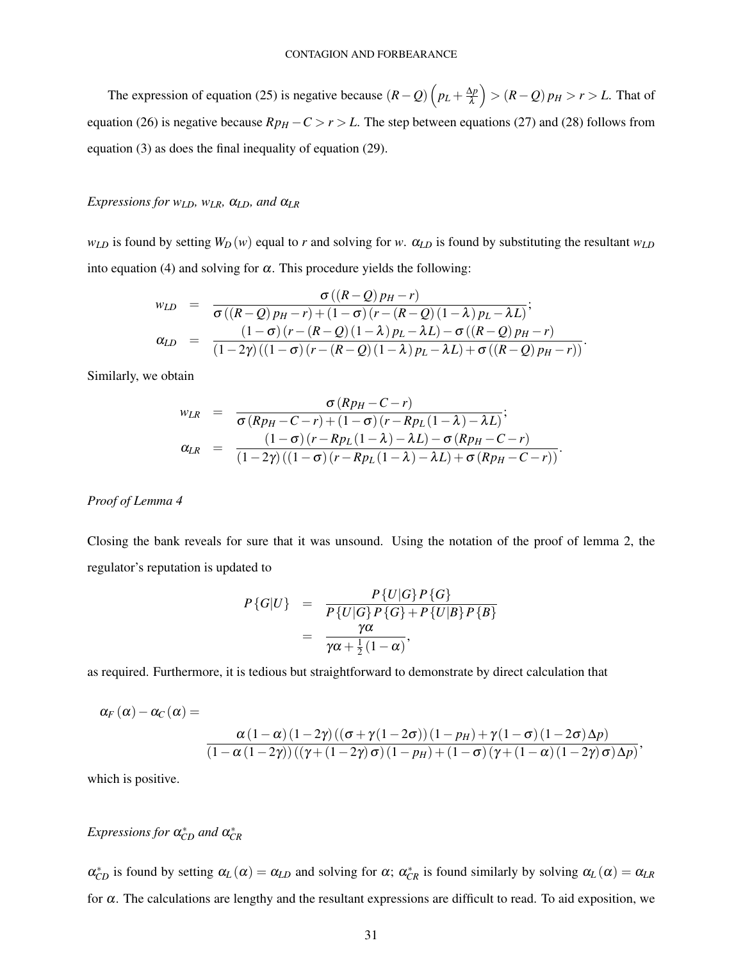The expression of equation (25) is negative because  $(R - Q) \left( p_L + \frac{\Delta p}{\lambda} \right)$ λ > (*R*−*Q*) *p<sup>H</sup>* > *r* > *L*. That of equation (26) is negative because  $Rp_H - C > r > L$ . The step between equations (27) and (28) follows from equation (3) as does the final inequality of equation (29).

## *Expressions for wLD, wLR,* α*LD, and* α*LR*

*w*<sub>*LD*</sub> is found by setting  $W_D(w)$  equal to *r* and solving for *w*.  $\alpha_{LD}$  is found by substituting the resultant  $w_{LD}$ into equation (4) and solving for  $\alpha$ . This procedure yields the following:

$$
w_{LD} = \frac{\sigma((R-Q) p_H - r)}{\sigma((R-Q) p_H - r) + (1 - \sigma)(r - (R-Q)(1-\lambda) p_L - \lambda L)};
$$
  
\n
$$
\alpha_{LD} = \frac{(1 - \sigma)(r - (R-Q)(1-\lambda) p_L - \lambda L) - \sigma((R-Q) p_H - r)}{(1 - 2\gamma)((1 - \sigma)(r - (R-Q)(1-\lambda) p_L - \lambda L) + \sigma((R-Q) p_H - r))}.
$$

Similarly, we obtain

$$
w_{LR} = \frac{\sigma (Rp_H - C - r)}{\sigma (Rp_H - C - r) + (1 - \sigma) (r - Rp_L(1 - \lambda) - \lambda L)};
$$
  
\n
$$
\alpha_{LR} = \frac{(1 - \sigma) (r - Rp_L(1 - \lambda) - \lambda L) - \sigma (Rp_H - C - r)}{(1 - 2\gamma)((1 - \sigma) (r - Rp_L(1 - \lambda) - \lambda L) + \sigma (Rp_H - C - r))}.
$$

## *Proof of Lemma 4*

Closing the bank reveals for sure that it was unsound. Using the notation of the proof of lemma 2, the regulator's reputation is updated to

$$
P\{G|U\} = \frac{P\{U|G\}P\{G\}}{P\{U|G\}P\{G\} + P\{U|B\}P\{B\}}
$$
  
= 
$$
\frac{\gamma\alpha}{\gamma\alpha + \frac{1}{2}(1-\alpha)},
$$

as required. Furthermore, it is tedious but straightforward to demonstrate by direct calculation that

$$
\alpha_F(\alpha) - \alpha_C(\alpha) = \frac{\alpha(1-\alpha)(1-2\gamma)((\sigma + \gamma(1-2\sigma))(1-p_H) + \gamma(1-\sigma)(1-2\sigma)\Delta p)}{(1-\alpha(1-2\gamma))((\gamma + (1-2\gamma)\sigma)(1-p_H) + (1-\sigma)(\gamma + (1-\alpha)(1-2\gamma)\sigma)\Delta p)},
$$

which is positive.

## $$

 $\alpha_{CD}^*$  is found by setting  $\alpha_L(\alpha) = \alpha_{LD}$  and solving for  $\alpha$ ;  $\alpha_{CR}^*$  is found similarly by solving  $\alpha_L(\alpha) = \alpha_{LR}$ for  $\alpha$ . The calculations are lengthy and the resultant expressions are difficult to read. To aid exposition, we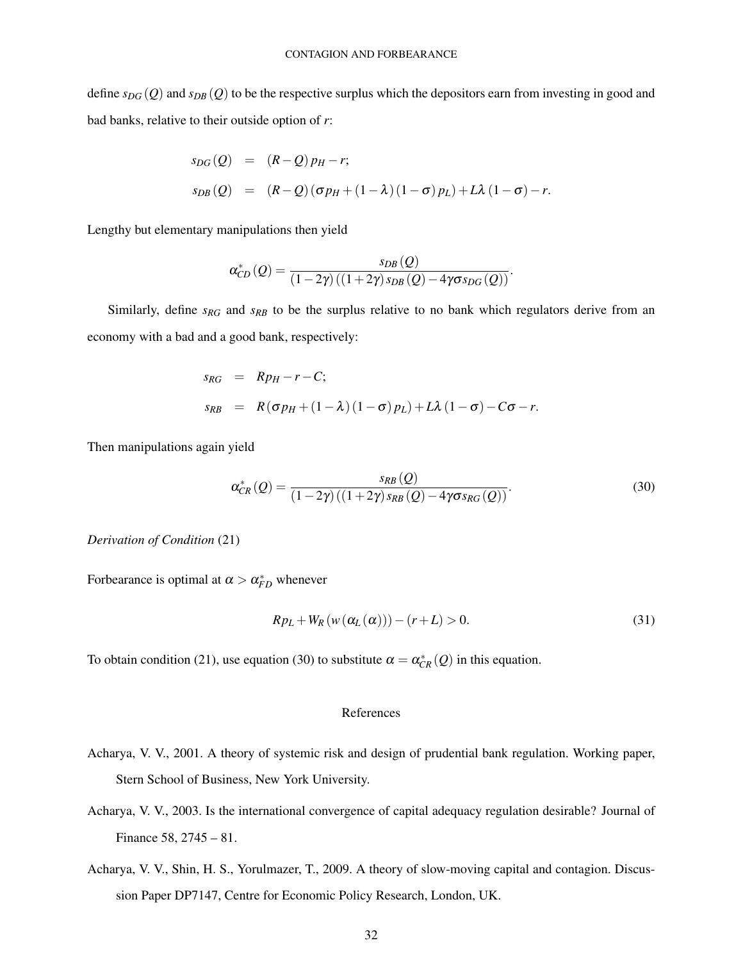define  $s_{DG}(Q)$  and  $s_{DB}(Q)$  to be the respective surplus which the depositors earn from investing in good and bad banks, relative to their outside option of *r*:

$$
s_{DG}(Q) = (R-Q)p_H - r;
$$
  
\n
$$
s_{DB}(Q) = (R-Q)(\sigma p_H + (1-\lambda)(1-\sigma)p_L) + L\lambda(1-\sigma) - r.
$$

Lengthy but elementary manipulations then yield

$$
\alpha_{CD}^*(Q) = \frac{s_{DB}(Q)}{(1-2\gamma)((1+2\gamma)s_{DB}(Q)-4\gamma\sigma s_{DG}(Q))}.
$$

Similarly, define *sRG* and *sRB* to be the surplus relative to no bank which regulators derive from an economy with a bad and a good bank, respectively:

$$
s_{RG} = Rp_H - r - C;
$$
  
\n
$$
s_{RB} = R(\sigma p_H + (1 - \lambda) (1 - \sigma) p_L) + L\lambda (1 - \sigma) - C\sigma - r.
$$

Then manipulations again yield

$$
\alpha_{CR}^*(Q) = \frac{s_{RB}(Q)}{(1-2\gamma)((1+2\gamma)s_{RB}(Q)-4\gamma\sigma s_{RG}(Q))}.
$$
\n(30)

*Derivation of Condition* (21)

Forbearance is optimal at  $\alpha > \alpha_{FD}^*$  whenever

$$
RpL + WR(w(\alphaL(\alpha)))) - (r+L) > 0.
$$
\n(31)

To obtain condition (21), use equation (30) to substitute  $\alpha = \alpha_{CR}^*(Q)$  in this equation.

## References

- Acharya, V. V., 2001. A theory of systemic risk and design of prudential bank regulation. Working paper, Stern School of Business, New York University.
- Acharya, V. V., 2003. Is the international convergence of capital adequacy regulation desirable? Journal of Finance 58, 2745 – 81.
- Acharya, V. V., Shin, H. S., Yorulmazer, T., 2009. A theory of slow-moving capital and contagion. Discussion Paper DP7147, Centre for Economic Policy Research, London, UK.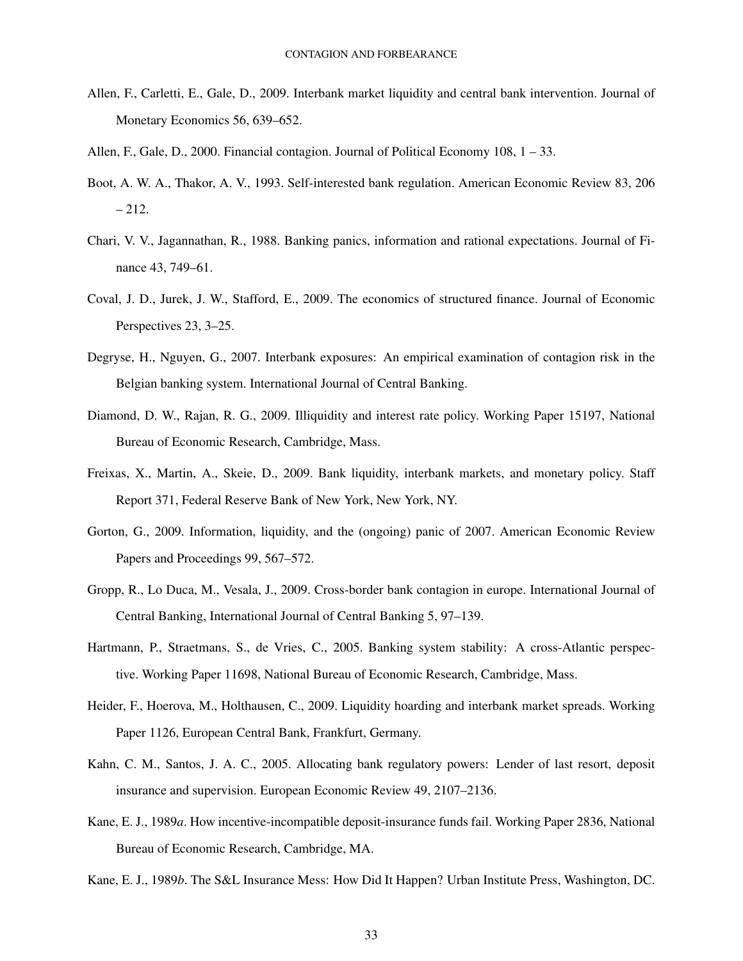- Allen, F., Carletti, E., Gale, D., 2009. Interbank market liquidity and central bank intervention. Journal of Monetary Economics 56, 639–652.
- Allen, F., Gale, D., 2000. Financial contagion. Journal of Political Economy 108, 1 33.
- Boot, A. W. A., Thakor, A. V., 1993. Self-interested bank regulation. American Economic Review 83, 206  $-212.$
- Chari, V. V., Jagannathan, R., 1988. Banking panics, information and rational expectations. Journal of Finance 43, 749–61.
- Coval, J. D., Jurek, J. W., Stafford, E., 2009. The economics of structured finance. Journal of Economic Perspectives 23, 3–25.
- Degryse, H., Nguyen, G., 2007. Interbank exposures: An empirical examination of contagion risk in the Belgian banking system. International Journal of Central Banking.
- Diamond, D. W., Rajan, R. G., 2009. Illiquidity and interest rate policy. Working Paper 15197, National Bureau of Economic Research, Cambridge, Mass.
- Freixas, X., Martin, A., Skeie, D., 2009. Bank liquidity, interbank markets, and monetary policy. Staff Report 371, Federal Reserve Bank of New York, New York, NY.
- Gorton, G., 2009. Information, liquidity, and the (ongoing) panic of 2007. American Economic Review Papers and Proceedings 99, 567–572.
- Gropp, R., Lo Duca, M., Vesala, J., 2009. Cross-border bank contagion in europe. International Journal of Central Banking, International Journal of Central Banking 5, 97–139.
- Hartmann, P., Straetmans, S., de Vries, C., 2005. Banking system stability: A cross-Atlantic perspective. Working Paper 11698, National Bureau of Economic Research, Cambridge, Mass.
- Heider, F., Hoerova, M., Holthausen, C., 2009. Liquidity hoarding and interbank market spreads. Working Paper 1126, European Central Bank, Frankfurt, Germany.
- Kahn, C. M., Santos, J. A. C., 2005. Allocating bank regulatory powers: Lender of last resort, deposit insurance and supervision. European Economic Review 49, 2107–2136.
- Kane, E. J., 1989*a*. How incentive-incompatible deposit-insurance funds fail. Working Paper 2836, National Bureau of Economic Research, Cambridge, MA.
- Kane, E. J., 1989*b*. The S&L Insurance Mess: How Did It Happen? Urban Institute Press, Washington, DC.